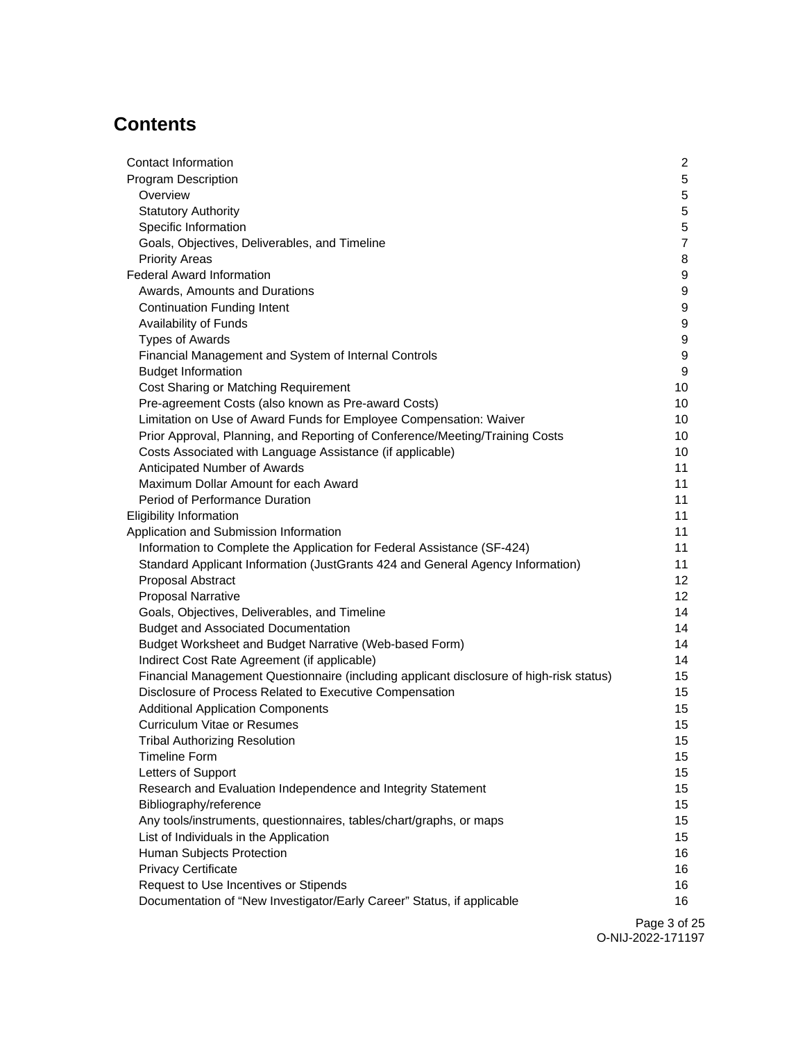# **Contents**

| Contact Information                                                                     | $\overline{2}$   |
|-----------------------------------------------------------------------------------------|------------------|
| <b>Program Description</b>                                                              | 5                |
| Overview                                                                                | 5                |
| <b>Statutory Authority</b>                                                              | $\overline{5}$   |
| Specific Information                                                                    | $\mathbf 5$      |
| Goals, Objectives, Deliverables, and Timeline                                           | $\overline{7}$   |
| <b>Priority Areas</b>                                                                   | 8                |
| <b>Federal Award Information</b>                                                        | 9                |
| Awards, Amounts and Durations                                                           | 9                |
| <b>Continuation Funding Intent</b>                                                      | 9                |
| Availability of Funds                                                                   | 9                |
| <b>Types of Awards</b>                                                                  | 9                |
| Financial Management and System of Internal Controls                                    | 9                |
| <b>Budget Information</b>                                                               | 9                |
| Cost Sharing or Matching Requirement                                                    | 10               |
| Pre-agreement Costs (also known as Pre-award Costs)                                     | 10               |
| Limitation on Use of Award Funds for Employee Compensation: Waiver                      | 10               |
| Prior Approval, Planning, and Reporting of Conference/Meeting/Training Costs            | 10               |
| Costs Associated with Language Assistance (if applicable)                               | 10               |
| Anticipated Number of Awards                                                            | 11               |
| Maximum Dollar Amount for each Award                                                    | 11               |
| Period of Performance Duration                                                          | 11               |
| <b>Eligibility Information</b>                                                          | 11               |
| Application and Submission Information                                                  | 11               |
| Information to Complete the Application for Federal Assistance (SF-424)                 | 11               |
| Standard Applicant Information (JustGrants 424 and General Agency Information)          | 11               |
| Proposal Abstract                                                                       | 12               |
| <b>Proposal Narrative</b>                                                               | 12               |
| Goals, Objectives, Deliverables, and Timeline                                           | 14               |
| <b>Budget and Associated Documentation</b>                                              | 14               |
| Budget Worksheet and Budget Narrative (Web-based Form)                                  | 14               |
| Indirect Cost Rate Agreement (if applicable)                                            | 14               |
| Financial Management Questionnaire (including applicant disclosure of high-risk status) | 15               |
| Disclosure of Process Related to Executive Compensation                                 | 15               |
| <b>Additional Application Components</b>                                                | 15               |
| <b>Curriculum Vitae or Resumes</b>                                                      | 15               |
| <b>Tribal Authorizing Resolution</b>                                                    | 15               |
| <b>Timeline Form</b>                                                                    | 15               |
| Letters of Support                                                                      | 15 <sub>15</sub> |
| Research and Evaluation Independence and Integrity Statement                            | 15 <sub>15</sub> |
| Bibliography/reference                                                                  | 15               |
| Any tools/instruments, questionnaires, tables/chart/graphs, or maps                     | 15               |
| List of Individuals in the Application                                                  | 15               |
| Human Subjects Protection                                                               | 16               |
| <b>Privacy Certificate</b>                                                              | 16<br>16         |
| Request to Use Incentives or Stipends                                                   |                  |
| Documentation of "New Investigator/Early Career" Status, if applicable                  | 16               |

Page 3 of 25 O-NIJ-2022-171197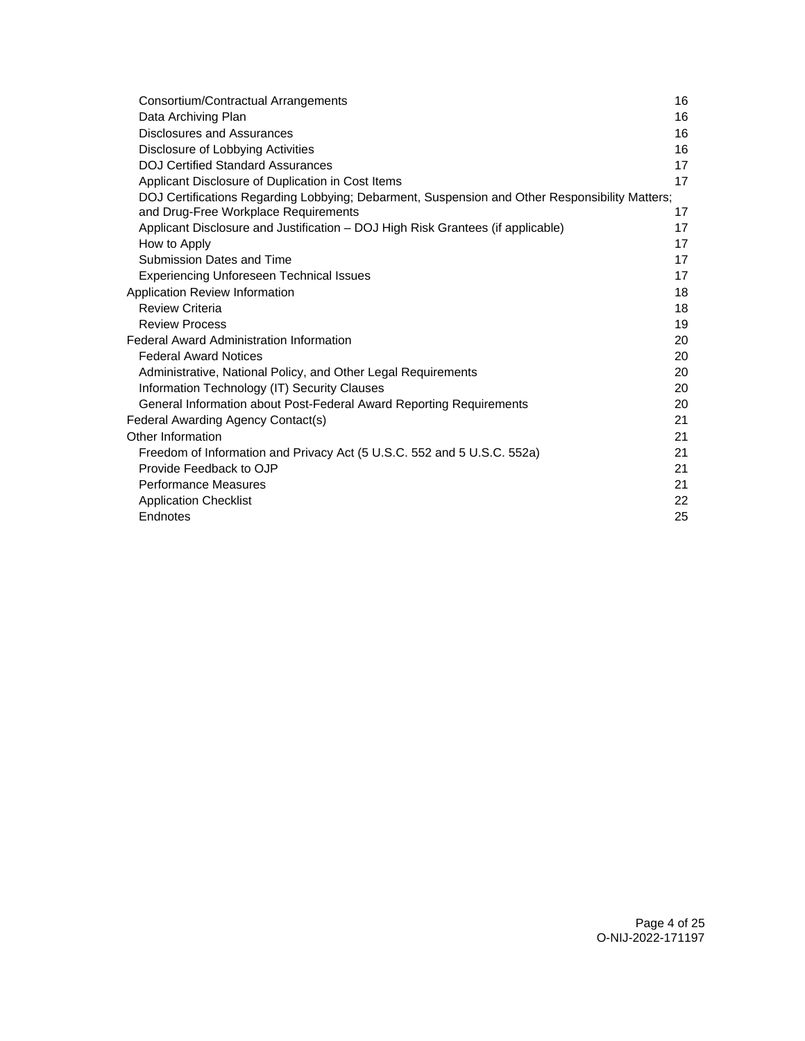| Consortium/Contractual Arrangements                                                            | 16 |
|------------------------------------------------------------------------------------------------|----|
| Data Archiving Plan                                                                            | 16 |
| Disclosures and Assurances                                                                     | 16 |
| Disclosure of Lobbying Activities                                                              | 16 |
| <b>DOJ Certified Standard Assurances</b>                                                       | 17 |
| Applicant Disclosure of Duplication in Cost Items                                              | 17 |
| DOJ Certifications Regarding Lobbying; Debarment, Suspension and Other Responsibility Matters; |    |
| and Drug-Free Workplace Requirements                                                           | 17 |
| Applicant Disclosure and Justification - DOJ High Risk Grantees (if applicable)                | 17 |
| How to Apply                                                                                   | 17 |
| Submission Dates and Time                                                                      | 17 |
| <b>Experiencing Unforeseen Technical Issues</b>                                                | 17 |
| Application Review Information                                                                 | 18 |
| <b>Review Criteria</b>                                                                         | 18 |
| <b>Review Process</b>                                                                          | 19 |
| <b>Federal Award Administration Information</b>                                                | 20 |
| <b>Federal Award Notices</b>                                                                   | 20 |
| Administrative, National Policy, and Other Legal Requirements                                  | 20 |
| Information Technology (IT) Security Clauses                                                   | 20 |
| General Information about Post-Federal Award Reporting Requirements                            | 20 |
| Federal Awarding Agency Contact(s)                                                             | 21 |
| Other Information                                                                              | 21 |
| Freedom of Information and Privacy Act (5 U.S.C. 552 and 5 U.S.C. 552a)                        | 21 |
| Provide Feedback to OJP                                                                        | 21 |
| <b>Performance Measures</b>                                                                    | 21 |
| <b>Application Checklist</b>                                                                   | 22 |
| Endnotes                                                                                       | 25 |
|                                                                                                |    |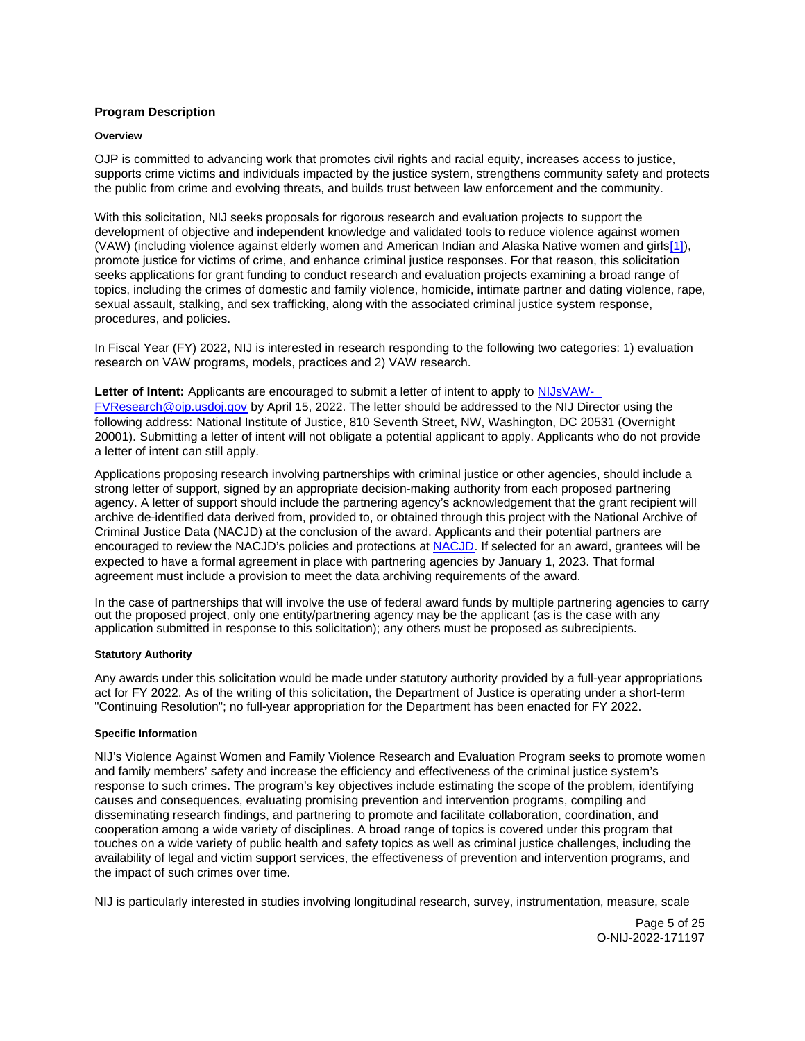# <span id="page-4-0"></span>**Program Description**

## **Overview**

OJP is committed to advancing work that promotes civil rights and racial equity, increases access to justice, supports crime victims and individuals impacted by the justice system, strengthens community safety and protects the public from crime and evolving threats, and builds trust between law enforcement and the community.

With this solicitation, NIJ seeks proposals for rigorous research and evaluation projects to support the development of objective and independent knowledge and validated tools to reduce violence against women (VAW) (including violence against elderly women and American Indian and Alaska Native women and girls[\[1\]\)](#_edn1), promote justice for victims of crime, and enhance criminal justice responses. For that reason, this solicitation seeks applications for grant funding to conduct research and evaluation projects examining a broad range of topics, including the crimes of domestic and family violence, homicide, intimate partner and dating violence, rape, sexual assault, stalking, and sex trafficking, along with the associated criminal justice system response, procedures, and policies.

In Fiscal Year (FY) 2022, NIJ is interested in research responding to the following two categories: 1) evaluation research on VAW programs, models, practices and 2) VAW research.

**Letter of Intent:** Applicants are encouraged to submit a letter of intent to apply to [NIJsVAW-](mailto:NIJsVAW-FVResearch@ojp.usdoj.gov)

[FVResearch@ojp.usdoj.gov](mailto:NIJsVAW-FVResearch@ojp.usdoj.gov) by April 15, 2022. The letter should be addressed to the NIJ Director using the following address: National Institute of Justice, 810 Seventh Street, NW, Washington, DC 20531 (Overnight 20001). Submitting a letter of intent will not obligate a potential applicant to apply. Applicants who do not provide a letter of intent can still apply.

Applications proposing research involving partnerships with criminal justice or other agencies, should include a strong letter of support, signed by an appropriate decision-making authority from each proposed partnering agency. A letter of support should include the partnering agency's acknowledgement that the grant recipient will archive de-identified data derived from, provided to, or obtained through this project with the National Archive of Criminal Justice Data (NACJD) at the conclusion of the award. Applicants and their potential partners are encouraged to review the NACJD's policies and protections at [NACJD.](https://www.icpsr.umich.edu/web/pages/NACJD/archiving/deposit-nij-data.html) If selected for an award, grantees will be expected to have a formal agreement in place with partnering agencies by January 1, 2023. That formal agreement must include a provision to meet the data archiving requirements of the award.

In the case of partnerships that will involve the use of federal award funds by multiple partnering agencies to carry out the proposed project, only one entity/partnering agency may be the applicant (as is the case with any application submitted in response to this solicitation); any others must be proposed as subrecipients.

# **Statutory Authority**

Any awards under this solicitation would be made under statutory authority provided by a full-year appropriations act for FY 2022. As of the writing of this solicitation, the Department of Justice is operating under a short-term "Continuing Resolution"; no full-year appropriation for the Department has been enacted for FY 2022.

### **Specific Information**

NIJ's Violence Against Women and Family Violence Research and Evaluation Program seeks to promote women and family members' safety and increase the efficiency and effectiveness of the criminal justice system's response to such crimes. The program's key objectives include estimating the scope of the problem, identifying causes and consequences, evaluating promising prevention and intervention programs, compiling and disseminating research findings, and partnering to promote and facilitate collaboration, coordination, and cooperation among a wide variety of disciplines. A broad range of topics is covered under this program that touches on a wide variety of public health and safety topics as well as criminal justice challenges, including the availability of legal and victim support services, the effectiveness of prevention and intervention programs, and the impact of such crimes over time.

NIJ is particularly interested in studies involving longitudinal research, survey, instrumentation, measure, scale

Page 5 of 25 O-NIJ-2022-171197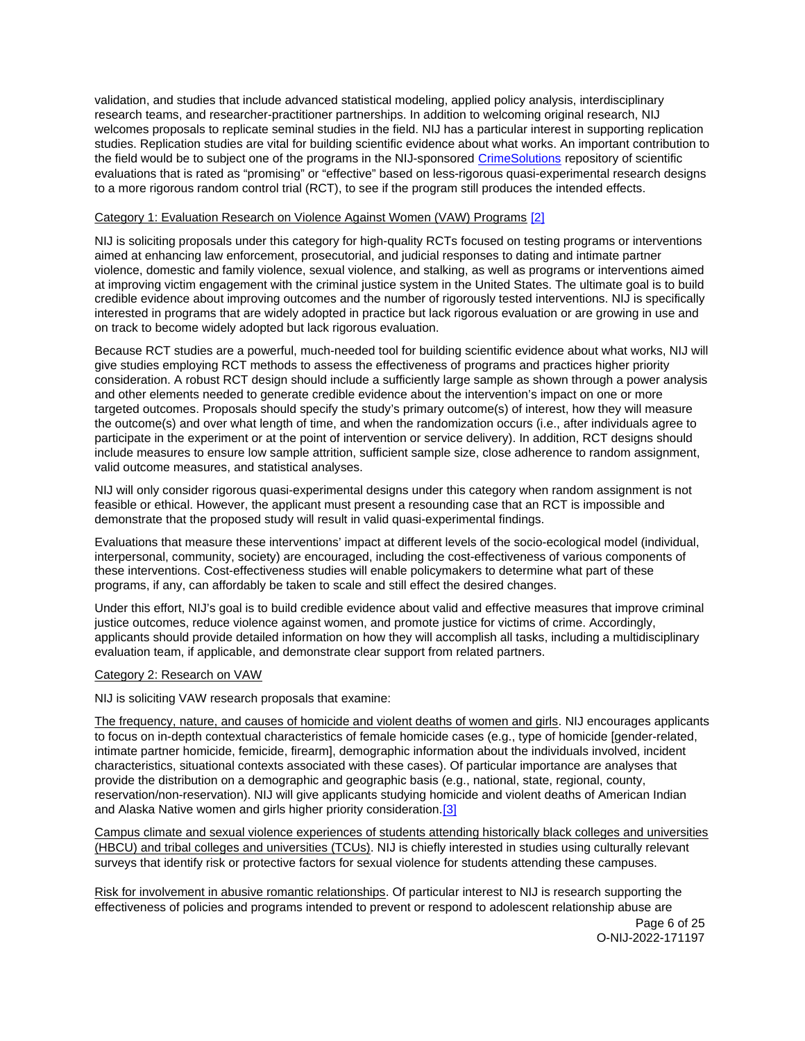validation, and studies that include advanced statistical modeling, applied policy analysis, interdisciplinary research teams, and researcher-practitioner partnerships. In addition to welcoming original research, NIJ welcomes proposals to replicate seminal studies in the field. NIJ has a particular interest in supporting replication studies. Replication studies are vital for building scientific evidence about what works. An important contribution to the field would be to subject one of the programs in the NIJ-sponsored [CrimeSolutions](https://crimesolutions.ojp.gov/) repository of scientific evaluations that is rated as "promising" or "effective" based on less-rigorous quasi-experimental research designs to a more rigorous random control trial (RCT), to see if the program still produces the intended effects.

# Category 1: Evaluation Research on Violence Against Women (VAW) Programs [\[2\]](#_edn1)

NIJ is soliciting proposals under this category for high-quality RCTs focused on testing programs or interventions aimed at enhancing law enforcement, prosecutorial, and judicial responses to dating and intimate partner violence, domestic and family violence, sexual violence, and stalking, as well as programs or interventions aimed at improving victim engagement with the criminal justice system in the United States. The ultimate goal is to build credible evidence about improving outcomes and the number of rigorously tested interventions. NIJ is specifically interested in programs that are widely adopted in practice but lack rigorous evaluation or are growing in use and on track to become widely adopted but lack rigorous evaluation.

Because RCT studies are a powerful, much-needed tool for building scientific evidence about what works, NIJ will give studies employing RCT methods to assess the effectiveness of programs and practices higher priority consideration. A robust RCT design should include a sufficiently large sample as shown through a power analysis and other elements needed to generate credible evidence about the intervention's impact on one or more targeted outcomes. Proposals should specify the study's primary outcome(s) of interest, how they will measure the outcome(s) and over what length of time, and when the randomization occurs (i.e., after individuals agree to participate in the experiment or at the point of intervention or service delivery). In addition, RCT designs should include measures to ensure low sample attrition, sufficient sample size, close adherence to random assignment, valid outcome measures, and statistical analyses.

NIJ will only consider rigorous quasi-experimental designs under this category when random assignment is not feasible or ethical. However, the applicant must present a resounding case that an RCT is impossible and demonstrate that the proposed study will result in valid quasi-experimental findings.

Evaluations that measure these interventions' impact at different levels of the socio-ecological model (individual, interpersonal, community, society) are encouraged, including the cost-effectiveness of various components of these interventions. Cost-effectiveness studies will enable policymakers to determine what part of these programs, if any, can affordably be taken to scale and still effect the desired changes.

Under this effort, NIJ's goal is to build credible evidence about valid and effective measures that improve criminal justice outcomes, reduce violence against women, and promote justice for victims of crime. Accordingly, applicants should provide detailed information on how they will accomplish all tasks, including a multidisciplinary evaluation team, if applicable, and demonstrate clear support from related partners.

# Category 2: Research on VAW

NIJ is soliciting VAW research proposals that examine:

The frequency, nature, and causes of homicide and violent deaths of women and girls. NIJ encourages applicants to focus on in-depth contextual characteristics of female homicide cases (e.g., type of homicide [gender-related, intimate partner homicide, femicide, firearm], demographic information about the individuals involved, incident characteristics, situational contexts associated with these cases). Of particular importance are analyses that provide the distribution on a demographic and geographic basis (e.g., national, state, regional, county, reservation/non-reservation). NIJ will give applicants studying homicide and violent deaths of American Indian and Alaska Native women and girls higher priority consideration.[\[3\]](#_edn2) 

Campus climate and sexual violence experiences of students attending historically black colleges and universities (HBCU) and tribal colleges and universities (TCUs). NIJ is chiefly interested in studies using culturally relevant surveys that identify risk or protective factors for sexual violence for students attending these campuses.

Risk for involvement in abusive romantic relationships. Of particular interest to NIJ is research supporting the effectiveness of policies and programs intended to prevent or respond to adolescent relationship abuse are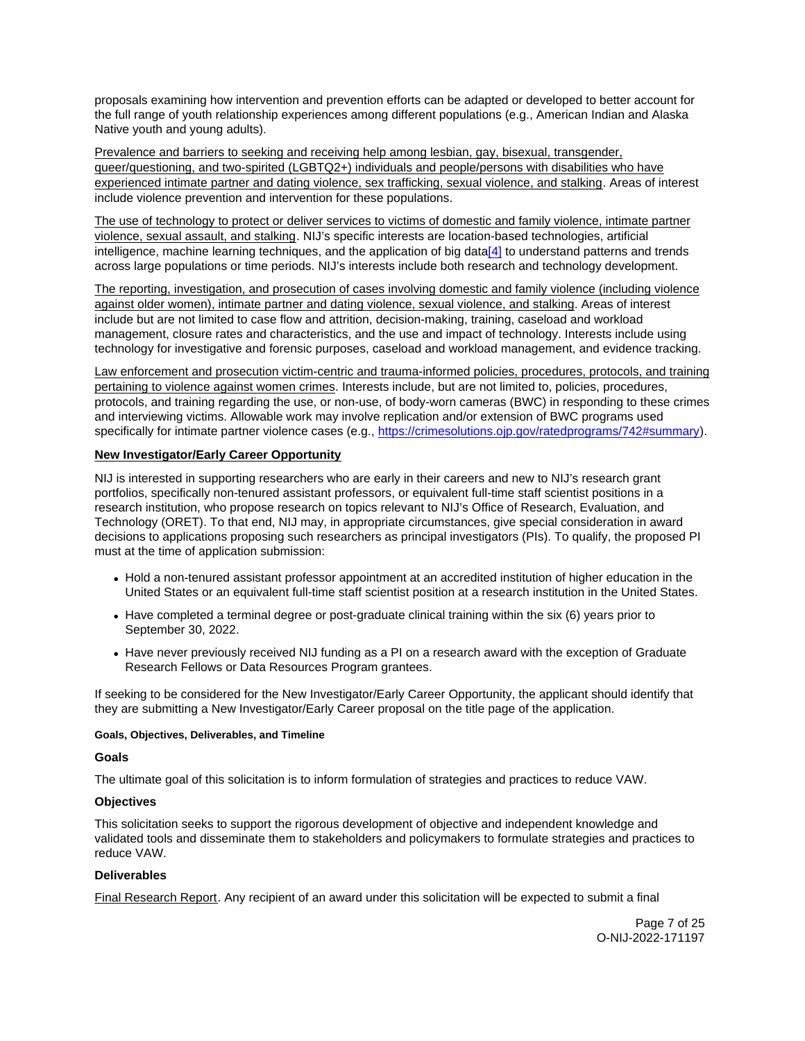<span id="page-6-0"></span>proposals examining how intervention and prevention efforts can be adapted or developed to better account for the full range of youth relationship experiences among different populations (e.g., American Indian and Alaska Native youth and young adults).

Prevalence and barriers to seeking and receiving help among lesbian, gay, bisexual, transgender, queer/questioning, and two-spirited (LGBTQ2+) individuals and people/persons with disabilities who have experienced intimate partner and dating violence, sex trafficking, sexual violence, and stalking. Areas of interest include violence prevention and intervention for these populations.

The use of technology to protect or deliver services to victims of domestic and family violence, intimate partner violence, sexual assault, and stalking. NIJ's specific interests are location-based technologies, artificial intelligence, machine learning techniques, and the application of big dat[a\[4\]](#_edn3) to understand patterns and trends across large populations or time periods. NIJ's interests include both research and technology development.

The reporting, investigation, and prosecution of cases involving domestic and family violence (including violence against older women), intimate partner and dating violence, sexual violence, and stalking. Areas of interest include but are not limited to case flow and attrition, decision-making, training, caseload and workload management, closure rates and characteristics, and the use and impact of technology. Interests include using technology for investigative and forensic purposes, caseload and workload management, and evidence tracking.

Law enforcement and prosecution victim-centric and trauma-informed policies, procedures, protocols, and training pertaining to violence against women crimes. Interests include, but are not limited to, policies, procedures, protocols, and training regarding the use, or non-use, of body-worn cameras (BWC) in responding to these crimes and interviewing victims. Allowable work may involve replication and/or extension of BWC programs used specifically for intimate partner violence cases (e.g., [https://crimesolutions.ojp.gov/ratedprograms/742#summary\)](https://crimesolutions.ojp.gov/ratedprograms/742#summary).

# **New Investigator/Early Career Opportunity**

NIJ is interested in supporting researchers who are early in their careers and new to NIJ's research grant portfolios, specifically non-tenured assistant professors, or equivalent full-time staff scientist positions in a research institution, who propose research on topics relevant to NIJ's Office of Research, Evaluation, and Technology (ORET). To that end, NIJ may, in appropriate circumstances, give special consideration in award decisions to applications proposing such researchers as principal investigators (PIs). To qualify, the proposed PI must at the time of application submission:

- Hold a non-tenured assistant professor appointment at an accredited institution of higher education in the United States or an equivalent full-time staff scientist position at a research institution in the United States.
- Have completed a terminal degree or post-graduate clinical training within the six (6) years prior to September 30, 2022.
- Have never previously received NIJ funding as a PI on a research award with the exception of Graduate Research Fellows or Data Resources Program grantees.

If seeking to be considered for the New Investigator/Early Career Opportunity, the applicant should identify that they are submitting a New Investigator/Early Career proposal on the title page of the application.

# **Goals, Objectives, Deliverables, and Timeline**

# **Goals**

The ultimate goal of this solicitation is to inform formulation of strategies and practices to reduce VAW.

# **Objectives**

This solicitation seeks to support the rigorous development of objective and independent knowledge and validated tools and disseminate them to stakeholders and policymakers to formulate strategies and practices to reduce VAW.

# **Deliverables**

Final Research Report. Any recipient of an award under this solicitation will be expected to submit a final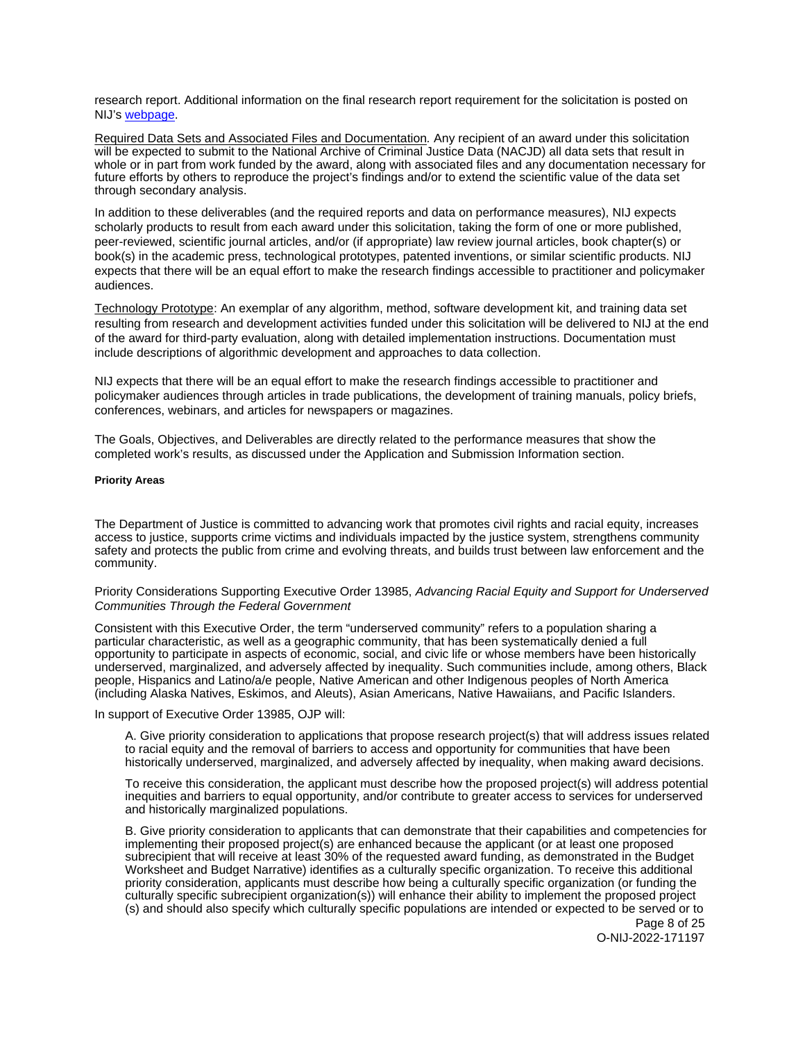<span id="page-7-0"></span>research report. Additional information on the final research report requirement for the solicitation is posted on NIJ's [webpage.](https://nij.ojp.gov/funding/research-development-and-evaluation-grant-award-requirements#xp5fv)

Required Data Sets and Associated Files and Documentation. Any recipient of an award under this solicitation will be expected to submit to the National Archive of Criminal Justice Data (NACJD) all data sets that result in whole or in part from work funded by the award, along with associated files and any documentation necessary for future efforts by others to reproduce the project's findings and/or to extend the scientific value of the data set through secondary analysis.

In addition to these deliverables (and the required reports and data on performance measures), NIJ expects scholarly products to result from each award under this solicitation, taking the form of one or more published, peer-reviewed, scientific journal articles, and/or (if appropriate) law review journal articles, book chapter(s) or book(s) in the academic press, technological prototypes, patented inventions, or similar scientific products. NIJ expects that there will be an equal effort to make the research findings accessible to practitioner and policymaker audiences.

Technology Prototype: An exemplar of any algorithm, method, software development kit, and training data set resulting from research and development activities funded under this solicitation will be delivered to NIJ at the end of the award for third-party evaluation, along with detailed implementation instructions. Documentation must include descriptions of algorithmic development and approaches to data collection.

NIJ expects that there will be an equal effort to make the research findings accessible to practitioner and policymaker audiences through articles in trade publications, the development of training manuals, policy briefs, conferences, webinars, and articles for newspapers or magazines.

The Goals, Objectives, and Deliverables are directly related to the performance measures that show the completed work's results, as discussed under the Application and Submission Information section.

#### **Priority Areas**

The Department of Justice is committed to advancing work that promotes civil rights and racial equity, increases access to justice, supports crime victims and individuals impacted by the justice system, strengthens community safety and protects the public from crime and evolving threats, and builds trust between law enforcement and the community.

Priority Considerations Supporting Executive Order 13985, Advancing Racial Equity and Support for Underserved Communities Through the Federal Government

Consistent with this Executive Order, the term "underserved community" refers to a population sharing a particular characteristic, as well as a geographic community, that has been systematically denied a full opportunity to participate in aspects of economic, social, and civic life or whose members have been historically underserved, marginalized, and adversely affected by inequality. Such communities include, among others, Black people, Hispanics and Latino/a/e people, Native American and other Indigenous peoples of North America (including Alaska Natives, Eskimos, and Aleuts), Asian Americans, Native Hawaiians, and Pacific Islanders.

In support of Executive Order 13985, OJP will:

A. Give priority consideration to applications that propose research project(s) that will address issues related to racial equity and the removal of barriers to access and opportunity for communities that have been historically underserved, marginalized, and adversely affected by inequality, when making award decisions.

To receive this consideration, the applicant must describe how the proposed project(s) will address potential inequities and barriers to equal opportunity, and/or contribute to greater access to services for underserved and historically marginalized populations.

B. Give priority consideration to applicants that can demonstrate that their capabilities and competencies for implementing their proposed project(s) are enhanced because the applicant (or at least one proposed subrecipient that will receive at least 30% of the requested award funding, as demonstrated in the Budget Worksheet and Budget Narrative) identifies as a culturally specific organization. To receive this additional priority consideration, applicants must describe how being a culturally specific organization (or funding the culturally specific subrecipient organization(s)) will enhance their ability to implement the proposed project (s) and should also specify which culturally specific populations are intended or expected to be served or to

Page 8 of 25 O-NIJ-2022-171197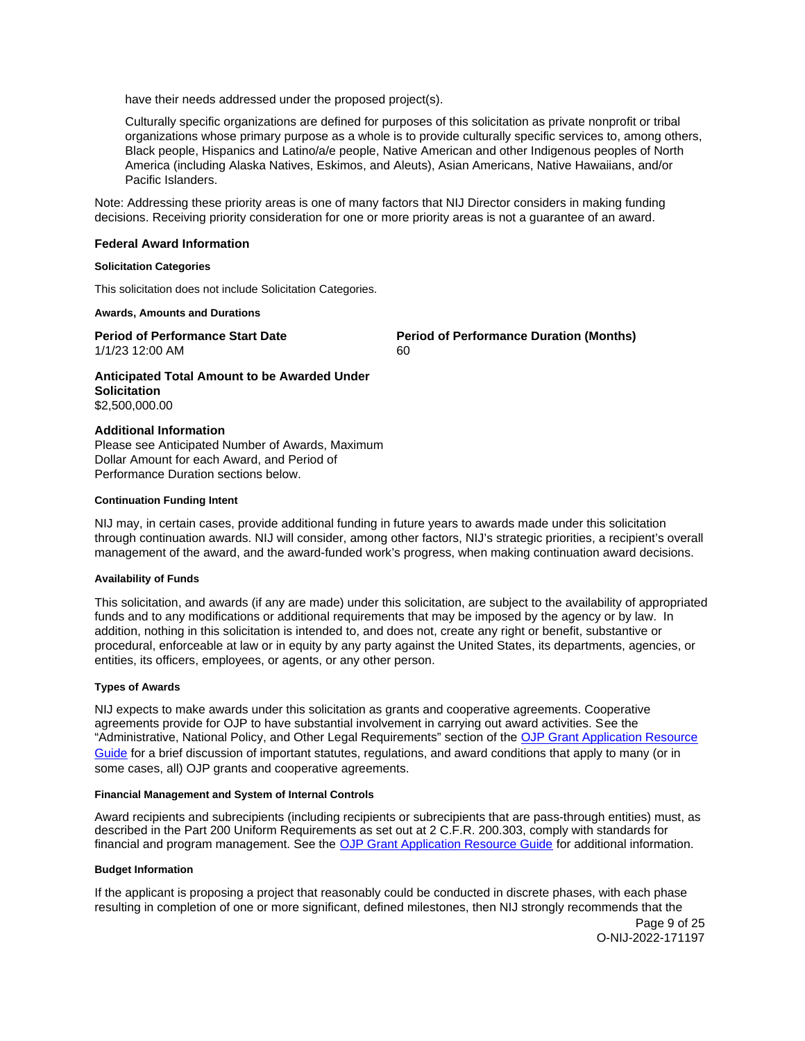<span id="page-8-0"></span>have their needs addressed under the proposed project(s).

Culturally specific organizations are defined for purposes of this solicitation as private nonprofit or tribal organizations whose primary purpose as a whole is to provide culturally specific services to, among others, Black people, Hispanics and Latino/a/e people, Native American and other Indigenous peoples of North America (including Alaska Natives, Eskimos, and Aleuts), Asian Americans, Native Hawaiians, and/or Pacific Islanders.

Note: Addressing these priority areas is one of many factors that NIJ Director considers in making funding decisions. Receiving priority consideration for one or more priority areas is not a guarantee of an award.

# **Federal Award Information**

### **Solicitation Categories**

This solicitation does not include Solicitation Categories.

#### **Awards, Amounts and Durations**

1/1/23 12:00 AM 60

**Period of Performance Start Date Mate Review Period of Performance Duration (Months)** 

**Anticipated Total Amount to be Awarded Under Solicitation**  \$2,500,000.00

### **Additional Information**

Please see Anticipated Number of Awards, Maximum Dollar Amount for each Award, and Period of Performance Duration sections below.

### **Continuation Funding Intent**

NIJ may, in certain cases, provide additional funding in future years to awards made under this solicitation through continuation awards. NIJ will consider, among other factors, NIJ's strategic priorities, a recipient's overall management of the award, and the award-funded work's progress, when making continuation award decisions.

### **Availability of Funds**

This solicitation, and awards (if any are made) under this solicitation, are subject to the availability of appropriated funds and to any modifications or additional requirements that may be imposed by the agency or by law. In addition, nothing in this solicitation is intended to, and does not, create any right or benefit, substantive or procedural, enforceable at law or in equity by any party against the United States, its departments, agencies, or entities, its officers, employees, or agents, or any other person.

# **Types of Awards**

NIJ expects to make awards under this solicitation as grants and cooperative agreements. Cooperative agreements provide for OJP to have substantial involvement in carrying out award activities. See the "Administrative, National Policy, and Other Legal Requirements" section of the [OJP Grant Application Resource](https://www.ojp.gov/funding/apply/ojp-grant-application-resource-guide#administrative)  [Guide](https://www.ojp.gov/funding/apply/ojp-grant-application-resource-guide#administrative) for a brief discussion of important statutes, regulations, and award conditions that apply to many (or in some cases, all) OJP grants and cooperative agreements.

#### **Financial Management and System of Internal Controls**

Award recipients and subrecipients (including recipients or subrecipients that are pass-through entities) must, as described in the Part 200 Uniform Requirements as set out at 2 C.F.R. 200.303, comply with standards for financial and program management. See the [OJP Grant Application Resource Guide](https://www.ojp.gov/funding/apply/ojp-grant-application-resource-guide#fm-internal-controls) for additional information.

# **Budget Information**

If the applicant is proposing a project that reasonably could be conducted in discrete phases, with each phase resulting in completion of one or more significant, defined milestones, then NIJ strongly recommends that the

Page 9 of 25 O-NIJ-2022-171197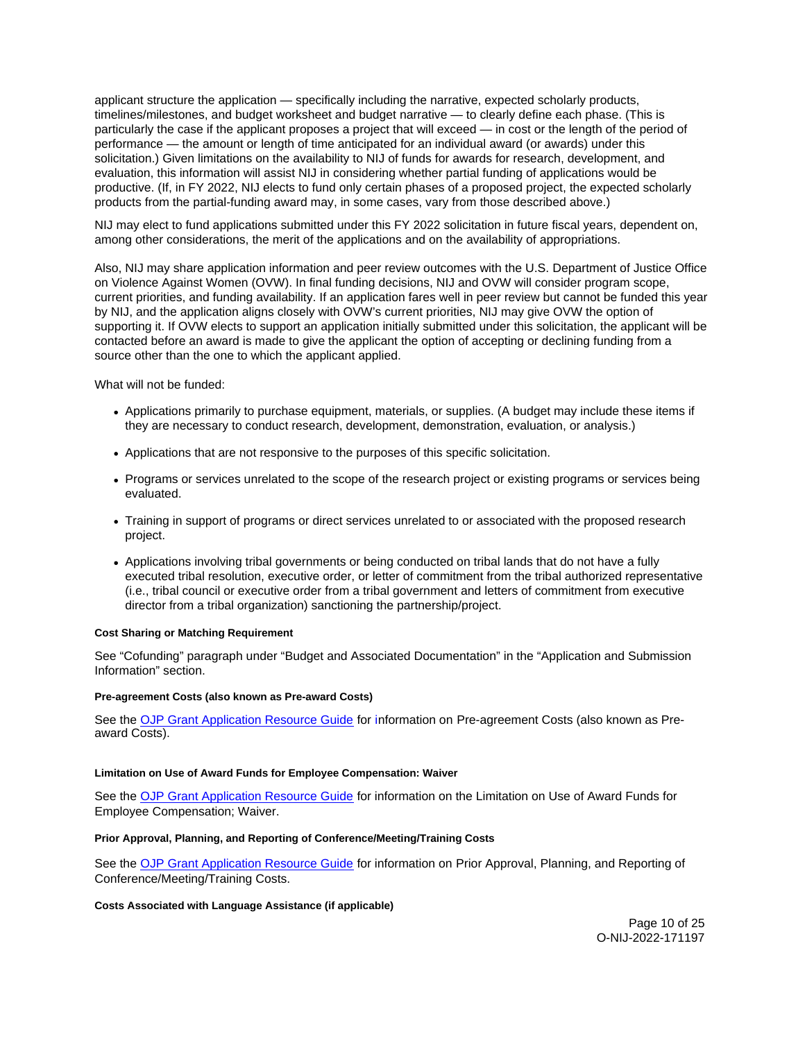<span id="page-9-0"></span>applicant structure the application — specifically including the narrative, expected scholarly products, timelines/milestones, and budget worksheet and budget narrative — to clearly define each phase. (This is particularly the case if the applicant proposes a project that will exceed — in cost or the length of the period of performance — the amount or length of time anticipated for an individual award (or awards) under this solicitation.) Given limitations on the availability to NIJ of funds for awards for research, development, and evaluation, this information will assist NIJ in considering whether partial funding of applications would be productive. (If, in FY 2022, NIJ elects to fund only certain phases of a proposed project, the expected scholarly products from the partial-funding award may, in some cases, vary from those described above.)

NIJ may elect to fund applications submitted under this FY 2022 solicitation in future fiscal years, dependent on, among other considerations, the merit of the applications and on the availability of appropriations.

Also, NIJ may share application information and peer review outcomes with the U.S. Department of Justice Office on Violence Against Women (OVW). In final funding decisions, NIJ and OVW will consider program scope, current priorities, and funding availability. If an application fares well in peer review but cannot be funded this year by NIJ, and the application aligns closely with OVW's current priorities, NIJ may give OVW the option of supporting it. If OVW elects to support an application initially submitted under this solicitation, the applicant will be contacted before an award is made to give the applicant the option of accepting or declining funding from a source other than the one to which the applicant applied.

What will not be funded:

- Applications primarily to purchase equipment, materials, or supplies. (A budget may include these items if they are necessary to conduct research, development, demonstration, evaluation, or analysis.)
- Applications that are not responsive to the purposes of this specific solicitation.
- Programs or services unrelated to the scope of the research project or existing programs or services being evaluated.
- Training in support of programs or direct services unrelated to or associated with the proposed research project.
- Applications involving tribal governments or being conducted on tribal lands that do not have a fully executed tribal resolution, executive order, or letter of commitment from the tribal authorized representative (i.e., tribal council or executive order from a tribal government and letters of commitment from executive director from a tribal organization) sanctioning the partnership/project.

# **Cost Sharing or Matching Requirement**

See "Cofunding" paragraph under "Budget and Associated Documentation" in the "Application and Submission Information" section.

### **Pre-agreement Costs (also known as Pre-award Costs)**

See the [OJP Grant Application Resource Guide](https://www.ojp.gov/funding/apply/ojp-grant-application-resource-guide#pre-agreement-costs) for information on Pre-agreement Costs (also known as Preaward Costs).

### **Limitation on Use of Award Funds for Employee Compensation: Waiver**

See the [OJP Grant Application Resource Guide](https://www.ojp.gov/funding/apply/ojp-grant-application-resource-guide#limitation-use-award) for information on the Limitation on Use of Award Funds for Employee Compensation; Waiver.

# **Prior Approval, Planning, and Reporting of Conference/Meeting/Training Costs**

See the [OJP Grant Application Resource Guide](https://www.ojp.gov/funding/apply/ojp-grant-application-resource-guide#prior-approval) for information on Prior Approval, Planning, and Reporting of Conference/Meeting/Training Costs.

### **Costs Associated with Language Assistance (if applicable)**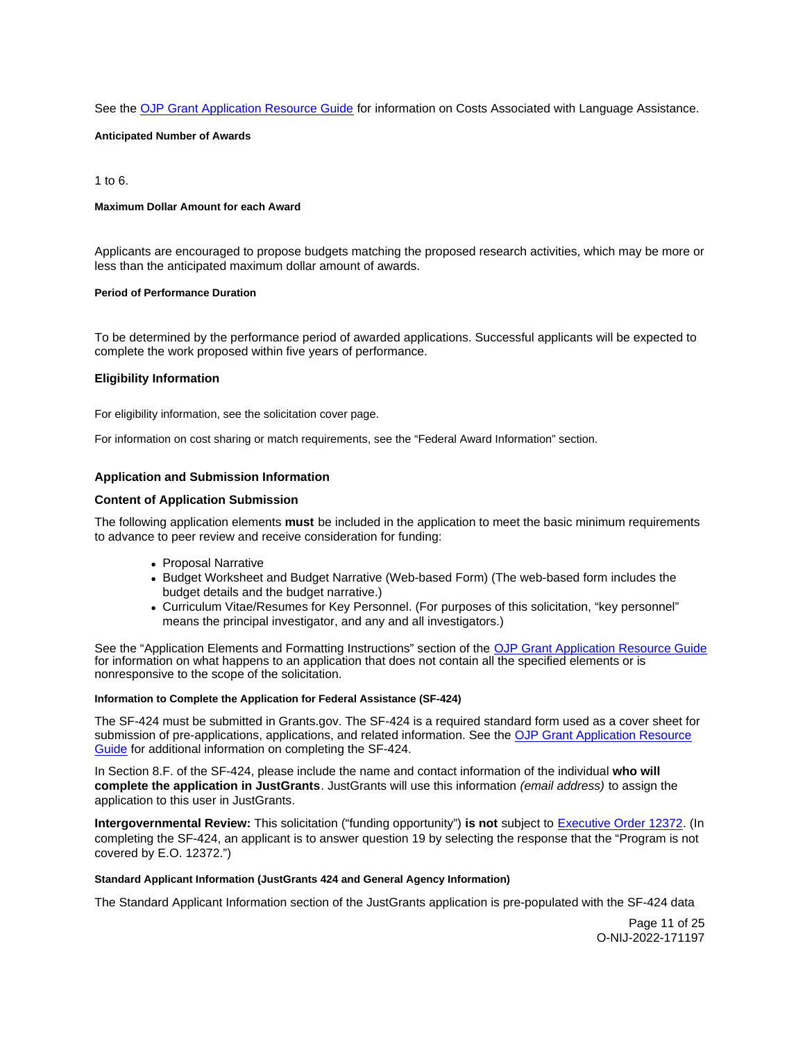<span id="page-10-0"></span>See the [OJP Grant Application Resource Guide](https://www.ojp.gov/funding/apply/ojp-grant-application-resource-guide#costs-associated) for information on Costs Associated with Language Assistance.

**Anticipated Number of Awards** 

1 to 6.

### **Maximum Dollar Amount for each Award**

Applicants are encouraged to propose budgets matching the proposed research activities, which may be more or less than the anticipated maximum dollar amount of awards.

### **Period of Performance Duration**

To be determined by the performance period of awarded applications. Successful applicants will be expected to complete the work proposed within five years of performance.

### **Eligibility Information**

For eligibility information, see the solicitation cover page.

For information on cost sharing or match requirements, see the "Federal Award Information" section.

### **Application and Submission Information**

### **Content of Application Submission**

The following application elements **must** be included in the application to meet the basic minimum requirements to advance to peer review and receive consideration for funding:

- Proposal Narrative
- Budget Worksheet and Budget Narrative (Web-based Form) (The web-based form includes the budget details and the budget narrative.)
- Curriculum Vitae/Resumes for Key Personnel. (For purposes of this solicitation, "key personnel" means the principal investigator, and any and all investigators.)

See the "Application Elements and Formatting Instructions" section of the [OJP Grant Application Resource Guide](https://www.ojp.gov/funding/apply/ojp-grant-application-resource-guide#application-elements)  for information on what happens to an application that does not contain all the specified elements or is nonresponsive to the scope of the solicitation.

### **Information to Complete the Application for Federal Assistance (SF-424)**

The SF-424 must be submitted in [Grants.gov.](https://Grants.gov) The SF-424 is a required standard form used as a cover sheet for submission of pre-applications, applications, and related information. See the [OJP Grant Application Resource](https://www.ojp.gov/funding/apply/ojp-grant-application-resource-guide#complete-application)  [Guide](https://www.ojp.gov/funding/apply/ojp-grant-application-resource-guide#complete-application) for additional information on completing the SF-424.

In Section 8.F. of the SF-424, please include the name and contact information of the individual **who will complete the application in JustGrants**. JustGrants will use this information (email address) to assign the application to this user in JustGrants.

**Intergovernmental Review:** This solicitation ("funding opportunity") **is not** subject to [Executive Order 12372.](https://www.archives.gov/federal-register/codification/executive-order/12372.html) (In completing the SF-424, an applicant is to answer question 19 by selecting the response that the "Program is not covered by E.O. 12372.")

#### **Standard Applicant Information (JustGrants 424 and General Agency Information)**

The Standard Applicant Information section of the JustGrants application is pre-populated with the SF-424 data

Page 11 of 25 O-NIJ-2022-171197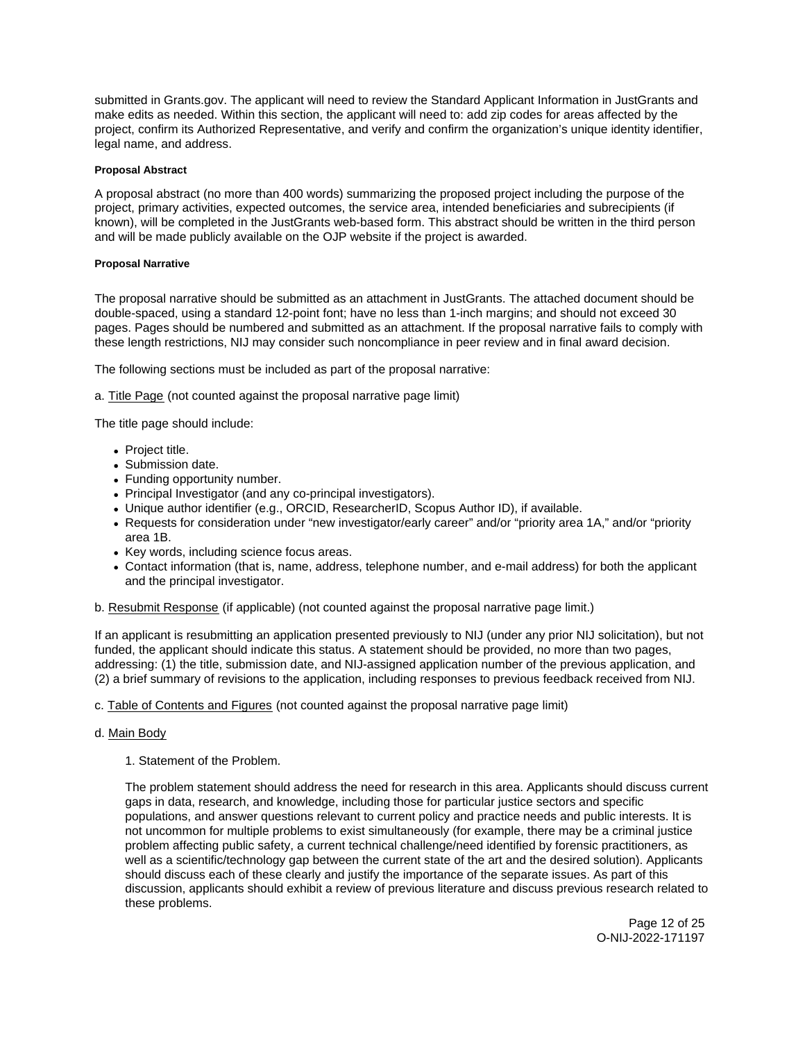<span id="page-11-0"></span>submitted in [Grants.gov](https://Grants.gov). The applicant will need to review the Standard Applicant Information in JustGrants and make edits as needed. Within this section, the applicant will need to: add zip codes for areas affected by the project, confirm its Authorized Representative, and verify and confirm the organization's unique identity identifier, legal name, and address.

# **Proposal Abstract**

A proposal abstract (no more than 400 words) summarizing the proposed project including the purpose of the project, primary activities, expected outcomes, the service area, intended beneficiaries and subrecipients (if known), will be completed in the JustGrants web-based form. This abstract should be written in the third person and will be made publicly available on the OJP website if the project is awarded.

# **Proposal Narrative**

The proposal narrative should be submitted as an attachment in JustGrants. The attached document should be double-spaced, using a standard 12-point font; have no less than 1-inch margins; and should not exceed 30 pages. Pages should be numbered and submitted as an attachment. If the proposal narrative fails to comply with these length restrictions, NIJ may consider such noncompliance in peer review and in final award decision.

The following sections must be included as part of the proposal narrative:

a. Title Page (not counted against the proposal narrative page limit)

The title page should include:

- Project title.
- Submission date.
- Funding opportunity number.
- Principal Investigator (and any co-principal investigators).
- Unique author identifier (e.g., ORCID, ResearcherID, Scopus Author ID), if available.
- Requests for consideration under "new investigator/early career" and/or "priority area 1A," and/or "priority area 1B.
- Key words, including science focus areas.
- Contact information (that is, name, address, telephone number, and e-mail address) for both the applicant and the principal investigator.

# b. Resubmit Response (if applicable) (not counted against the proposal narrative page limit.)

If an applicant is resubmitting an application presented previously to NIJ (under any prior NIJ solicitation), but not funded, the applicant should indicate this status. A statement should be provided, no more than two pages, addressing: (1) the title, submission date, and NIJ-assigned application number of the previous application, and (2) a brief summary of revisions to the application, including responses to previous feedback received from NIJ.

# c. Table of Contents and Figures (not counted against the proposal narrative page limit)

# d. Main Body

# 1. Statement of the Problem.

The problem statement should address the need for research in this area. Applicants should discuss current gaps in data, research, and knowledge, including those for particular justice sectors and specific populations, and answer questions relevant to current policy and practice needs and public interests. It is not uncommon for multiple problems to exist simultaneously (for example, there may be a criminal justice problem affecting public safety, a current technical challenge/need identified by forensic practitioners, as well as a scientific/technology gap between the current state of the art and the desired solution). Applicants should discuss each of these clearly and justify the importance of the separate issues. As part of this discussion, applicants should exhibit a review of previous literature and discuss previous research related to these problems.

> Page 12 of 25 O-NIJ-2022-171197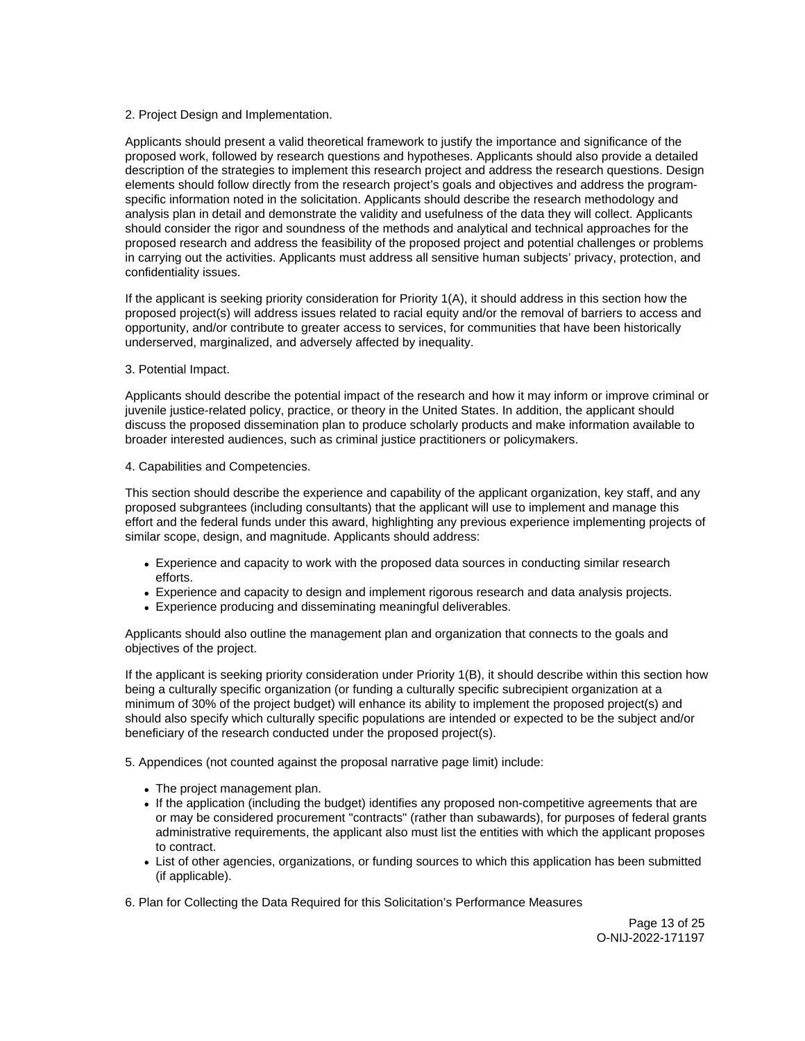# 2. Project Design and Implementation.

Applicants should present a valid theoretical framework to justify the importance and significance of the proposed work, followed by research questions and hypotheses. Applicants should also provide a detailed description of the strategies to implement this research project and address the research questions. Design elements should follow directly from the research project's goals and objectives and address the programspecific information noted in the solicitation. Applicants should describe the research methodology and analysis plan in detail and demonstrate the validity and usefulness of the data they will collect. Applicants should consider the rigor and soundness of the methods and analytical and technical approaches for the proposed research and address the feasibility of the proposed project and potential challenges or problems in carrying out the activities. Applicants must address all sensitive human subjects' privacy, protection, and confidentiality issues.

If the applicant is seeking priority consideration for Priority 1(A), it should address in this section how the proposed project(s) will address issues related to racial equity and/or the removal of barriers to access and opportunity, and/or contribute to greater access to services, for communities that have been historically underserved, marginalized, and adversely affected by inequality.

# 3. Potential Impact.

Applicants should describe the potential impact of the research and how it may inform or improve criminal or juvenile justice-related policy, practice, or theory in the United States. In addition, the applicant should discuss the proposed dissemination plan to produce scholarly products and make information available to broader interested audiences, such as criminal justice practitioners or policymakers.

# 4. Capabilities and Competencies.

This section should describe the experience and capability of the applicant organization, key staff, and any proposed subgrantees (including consultants) that the applicant will use to implement and manage this effort and the federal funds under this award, highlighting any previous experience implementing projects of similar scope, design, and magnitude. Applicants should address:

- Experience and capacity to work with the proposed data sources in conducting similar research efforts.
- Experience and capacity to design and implement rigorous research and data analysis projects.
- Experience producing and disseminating meaningful deliverables.

Applicants should also outline the management plan and organization that connects to the goals and objectives of the project.

If the applicant is seeking priority consideration under Priority 1(B), it should describe within this section how being a culturally specific organization (or funding a culturally specific subrecipient organization at a minimum of 30% of the project budget) will enhance its ability to implement the proposed project(s) and should also specify which culturally specific populations are intended or expected to be the subject and/or beneficiary of the research conducted under the proposed project(s).

5. Appendices (not counted against the proposal narrative page limit) include:

- The project management plan.
- If the application (including the budget) identifies any proposed non-competitive agreements that are or may be considered procurement "contracts" (rather than subawards), for purposes of federal grants administrative requirements, the applicant also must list the entities with which the applicant proposes to contract.
- List of other agencies, organizations, or funding sources to which this application has been submitted (if applicable).

6. Plan for Collecting the Data Required for this Solicitation's Performance Measures

Page 13 of 25 O-NIJ-2022-171197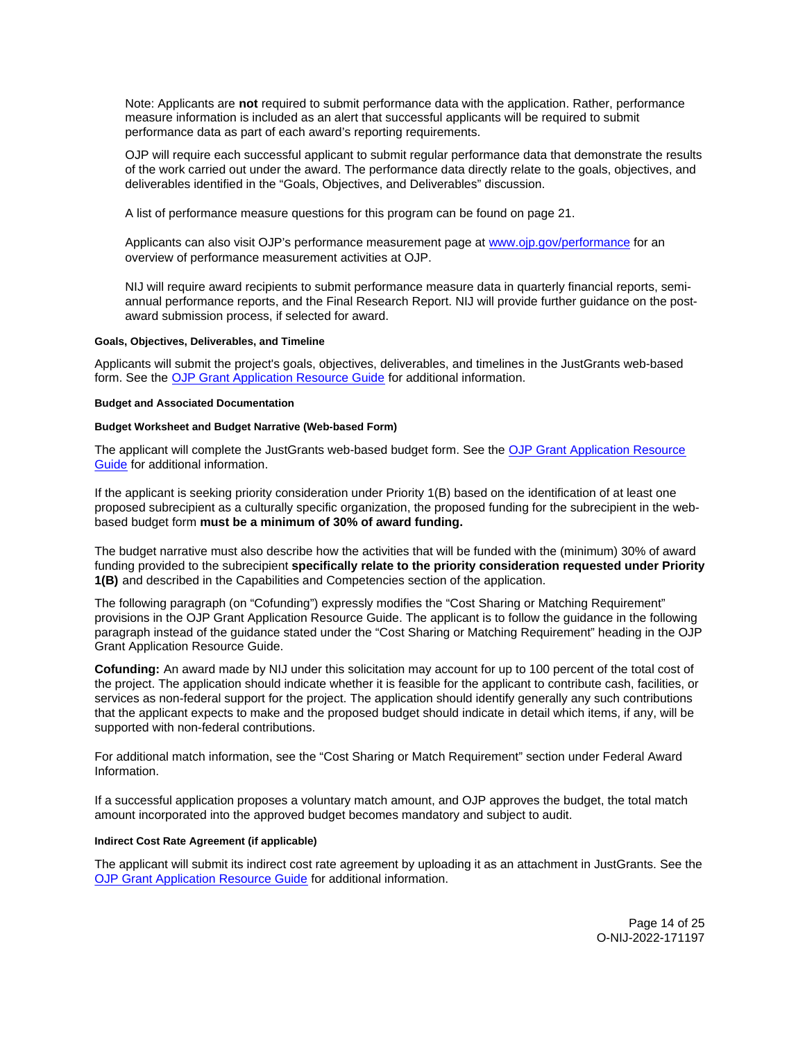<span id="page-13-0"></span>Note: Applicants are **not** required to submit performance data with the application. Rather, performance measure information is included as an alert that successful applicants will be required to submit performance data as part of each award's reporting requirements.

OJP will require each successful applicant to submit regular performance data that demonstrate the results of the work carried out under the award. The performance data directly relate to the goals, objectives, and deliverables identified in the "Goals, Objectives, and Deliverables" discussion.

A list of performance measure questions for this program can be found on page 21.

Applicants can also visit OJP's performance measurement page at [www.ojp.gov/performance](https://www.ojp.gov/performance) for an overview of performance measurement activities at OJP.

NIJ will require award recipients to submit performance measure data in quarterly financial reports, semiannual performance reports, and the Final Research Report. NIJ will provide further guidance on the postaward submission process, if selected for award.

#### **Goals, Objectives, Deliverables, and Timeline**

Applicants will submit the project's goals, objectives, deliverables, and timelines in the JustGrants web-based form. See the [OJP Grant Application Resource Guide](https://www.ojp.gov/funding/apply/ojp-grant-application-resource-guide) for additional information.

### **Budget and Associated Documentation**

### **Budget Worksheet and Budget Narrative (Web-based Form)**

The applicant will complete the JustGrants web-based budget form. See the [OJP Grant Application Resource](https://www.ojp.gov/funding/apply/ojp-grant-application-resource-guide#budget-prep)  [Guide](https://www.ojp.gov/funding/apply/ojp-grant-application-resource-guide#budget-prep) for additional information.

If the applicant is seeking priority consideration under Priority 1(B) based on the identification of at least one proposed subrecipient as a culturally specific organization, the proposed funding for the subrecipient in the webbased budget form **must be a minimum of 30% of award funding.** 

The budget narrative must also describe how the activities that will be funded with the (minimum) 30% of award funding provided to the subrecipient **specifically relate to the priority consideration requested under Priority 1(B)** and described in the Capabilities and Competencies section of the application.

The following paragraph (on "Cofunding") expressly modifies the "Cost Sharing or Matching Requirement" provisions in the OJP Grant Application Resource Guide. The applicant is to follow the guidance in the following paragraph instead of the guidance stated under the "Cost Sharing or Matching Requirement" heading in the OJP Grant Application Resource Guide.

**Cofunding:** An award made by NIJ under this solicitation may account for up to 100 percent of the total cost of the project. The application should indicate whether it is feasible for the applicant to contribute cash, facilities, or services as non-federal support for the project. The application should identify generally any such contributions that the applicant expects to make and the proposed budget should indicate in detail which items, if any, will be supported with non-federal contributions.

For additional match information, see the "Cost Sharing or Match Requirement" section under Federal Award Information.

If a successful application proposes a voluntary match amount, and OJP approves the budget, the total match amount incorporated into the approved budget becomes mandatory and subject to audit.

# **Indirect Cost Rate Agreement (if applicable)**

The applicant will submit its indirect cost rate agreement by uploading it as an attachment in JustGrants. See the [OJP Grant Application Resource Guide](https://www.ojp.gov/funding/apply/ojp-grant-application-resource-guide#indirect-cost) for additional information.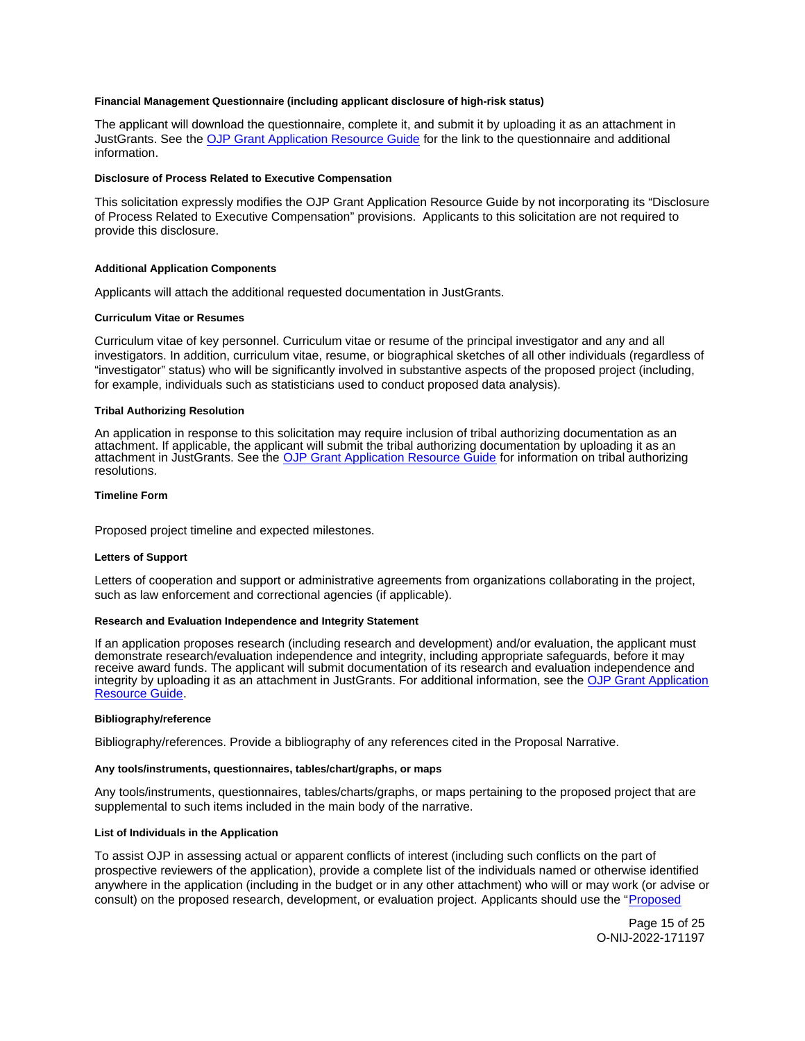### <span id="page-14-0"></span>**Financial Management Questionnaire (including applicant disclosure of high-risk status)**

The applicant will download the questionnaire, complete it, and submit it by uploading it as an attachment in JustGrants. See the [OJP Grant Application Resource Guide](https://www.ojp.gov/funding/apply/ojp-grant-application-resource-guide#fm-internal-controls-questionnaire) for the link to the questionnaire and additional information.

#### **Disclosure of Process Related to Executive Compensation**

This solicitation expressly modifies the OJP Grant Application Resource Guide by not incorporating its "Disclosure of Process Related to Executive Compensation" provisions. Applicants to this solicitation are not required to provide this disclosure.

#### **Additional Application Components**

Applicants will attach the additional requested documentation in JustGrants.

### **Curriculum Vitae or Resumes**

Curriculum vitae of key personnel. Curriculum vitae or resume of the principal investigator and any and all investigators. In addition, curriculum vitae, resume, or biographical sketches of all other individuals (regardless of "investigator" status) who will be significantly involved in substantive aspects of the proposed project (including, for example, individuals such as statisticians used to conduct proposed data analysis).

### **Tribal Authorizing Resolution**

An application in response to this solicitation may require inclusion of tribal authorizing documentation as an attachment. If applicable, the applicant will submit the tribal authorizing documentation by uploading it as an attachment in JustGrants. See the [OJP Grant Application Resource Guide](https://www.ojp.gov/funding/apply/ojp-grant-application-resource-guide#tribal-authorizing-resolution) for information on tribal authorizing resolutions.

#### **Timeline Form**

Proposed project timeline and expected milestones.

#### **Letters of Support**

Letters of cooperation and support or administrative agreements from organizations collaborating in the project, such as law enforcement and correctional agencies (if applicable).

### **Research and Evaluation Independence and Integrity Statement**

If an application proposes research (including research and development) and/or evaluation, the applicant must demonstrate research/evaluation independence and integrity, including appropriate safeguards, before it may receive award funds. The applicant will submit documentation of its research and evaluation independence and integrity by uploading it as an attachment in JustGrants. For additional information, see the [OJP Grant Application](https://www.ojp.gov/funding/apply/ojp-grant-application-resource-guide#research-evaluation)  [Resource Guide.](https://www.ojp.gov/funding/apply/ojp-grant-application-resource-guide#research-evaluation)

#### **Bibliography/reference**

Bibliography/references. Provide a bibliography of any references cited in the Proposal Narrative.

#### **Any tools/instruments, questionnaires, tables/chart/graphs, or maps**

Any tools/instruments, questionnaires, tables/charts/graphs, or maps pertaining to the proposed project that are supplemental to such items included in the main body of the narrative.

# **List of Individuals in the Application**

To assist OJP in assessing actual or apparent conflicts of interest (including such conflicts on the part of prospective reviewers of the application), provide a complete list of the individuals named or otherwise identified anywhere in the application (including in the budget or in any other attachment) who will or may work (or advise or consult) on the proposed research, development, or evaluation project. Applicants should use the "[Proposed](http://nij.ojp.gov/sites/g/files/xyckuh171/files/media/document/nij-project-staff-template.xlsx) 

> Page 15 of 25 O-NIJ-2022-171197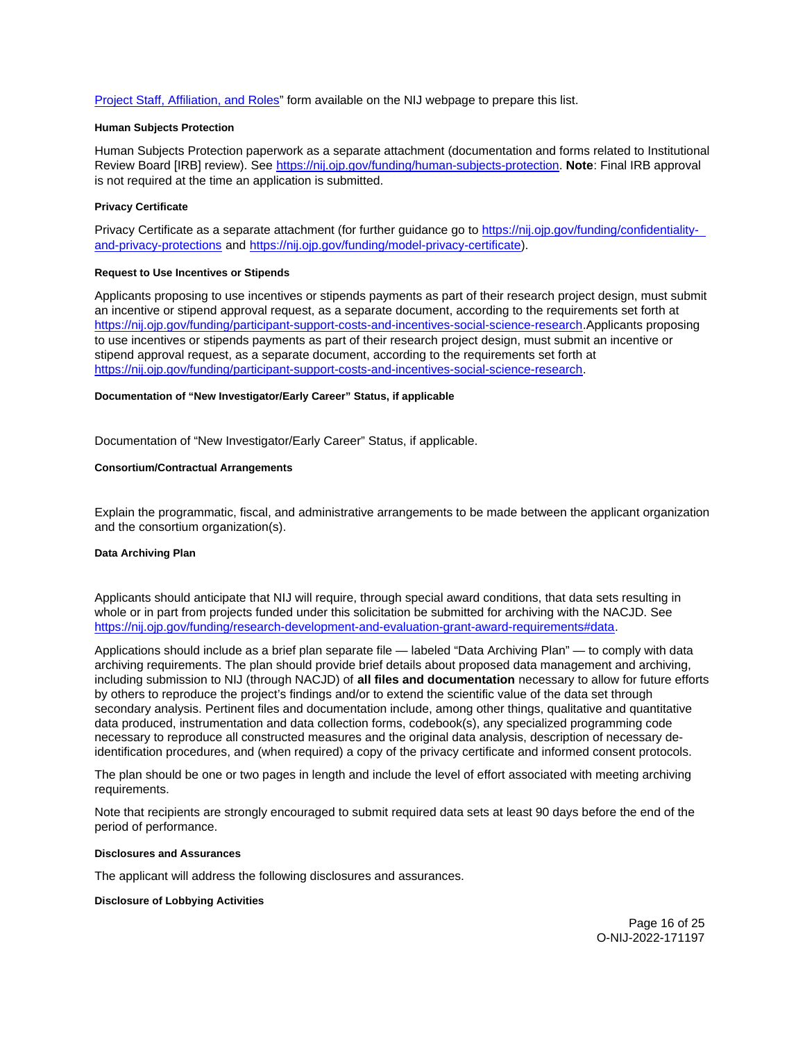<span id="page-15-0"></span>[Project Staff, Affiliation, and Roles"](http://nij.ojp.gov/sites/g/files/xyckuh171/files/media/document/nij-project-staff-template.xlsx) form available on the NIJ webpage to prepare this list.

## **Human Subjects Protection**

Human Subjects Protection paperwork as a separate attachment (documentation and forms related to Institutional Review Board [IRB] review). See [https://nij.ojp.gov/funding/human-subjects-protection.](https://nij.ojp.gov/funding/human-subjects-protection) **Note**: Final IRB approval is not required at the time an application is submitted.

### **Privacy Certificate**

Privacy Certificate as a separate attachment (for further guidance go to [https://nij.ojp.gov/funding/confidentiality](https://nij.ojp.gov/funding/confidentiality-and-privacy-protections)[and-privacy-protections](https://nij.ojp.gov/funding/confidentiality-and-privacy-protections) and [https://nij.ojp.gov/funding/model-privacy-certificate\)](https://nij.ojp.gov/funding/model-privacy-certificate).

### **Request to Use Incentives or Stipends**

Applicants proposing to use incentives or stipends payments as part of their research project design, must submit an incentive or stipend approval request, as a separate document, according to the requirements set forth at [https://nij.ojp.gov/funding/participant-support-costs-and-incentives-social-science-research.](https://nij.ojp.gov/funding/participant-support-costs-and-incentives-social-science-research)Applicants proposing to use incentives or stipends payments as part of their research project design, must submit an incentive or stipend approval request, as a separate document, according to the requirements set forth at [https://nij.ojp.gov/funding/participant-support-costs-and-incentives-social-science-research.](https://nij.ojp.gov/funding/participant-support-costs-and-incentives-social-science-research)

# **Documentation of "New Investigator/Early Career" Status, if applicable**

Documentation of "New Investigator/Early Career" Status, if applicable.

#### **Consortium/Contractual Arrangements**

Explain the programmatic, fiscal, and administrative arrangements to be made between the applicant organization and the consortium organization(s).

### **Data Archiving Plan**

Applicants should anticipate that NIJ will require, through special award conditions, that data sets resulting in whole or in part from projects funded under this solicitation be submitted for archiving with the NACJD. See [https://nij.ojp.gov/funding/research-development-and-evaluation-grant-award-requirements#data.](https://nij.ojp.gov/funding/research-development-and-evaluation-grant-award-requirements#data)

Applications should include as a brief plan separate file — labeled "Data Archiving Plan" — to comply with data archiving requirements. The plan should provide brief details about proposed data management and archiving, including submission to NIJ (through NACJD) of **all files and documentation** necessary to allow for future efforts by others to reproduce the project's findings and/or to extend the scientific value of the data set through secondary analysis. Pertinent files and documentation include, among other things, qualitative and quantitative data produced, instrumentation and data collection forms, codebook(s), any specialized programming code necessary to reproduce all constructed measures and the original data analysis, description of necessary deidentification procedures, and (when required) a copy of the privacy certificate and informed consent protocols.

The plan should be one or two pages in length and include the level of effort associated with meeting archiving requirements.

Note that recipients are strongly encouraged to submit required data sets at least 90 days before the end of the period of performance.

#### **Disclosures and Assurances**

The applicant will address the following disclosures and assurances.

### **Disclosure of Lobbying Activities**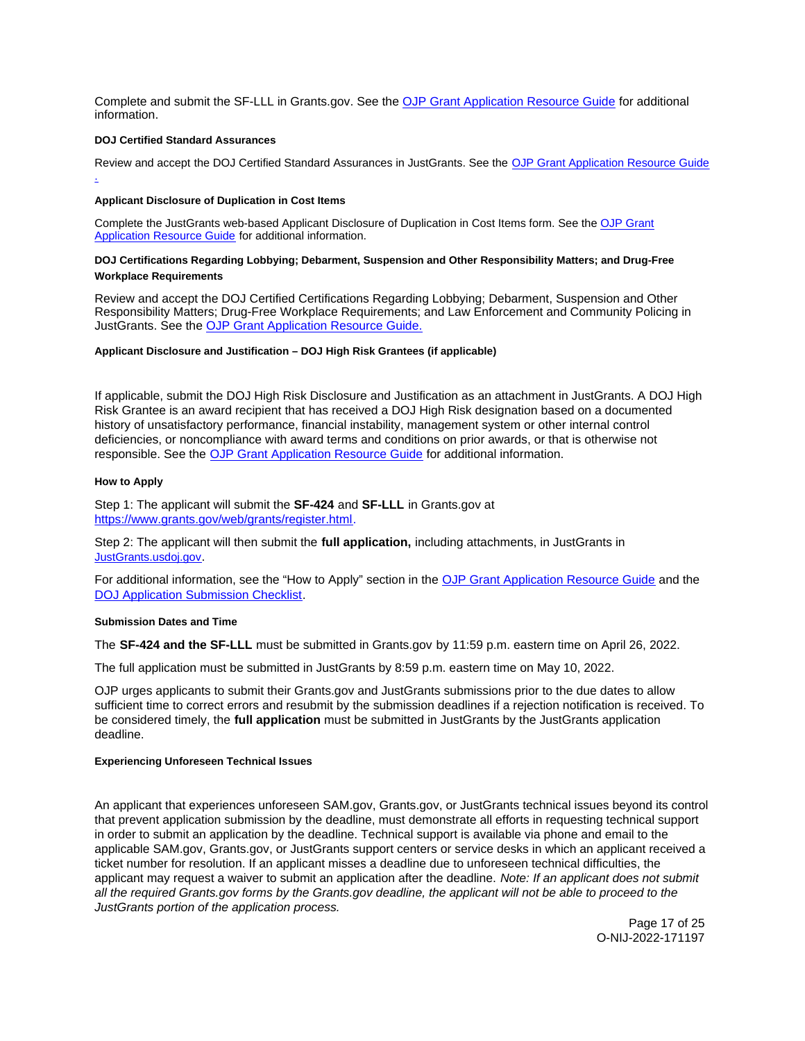<span id="page-16-0"></span>Complete and submit the SF-LLL in [Grants.gov](https://Grants.gov). See the [OJP Grant Application Resource Guide](https://www.ojp.gov/funding/apply/ojp-grant-application-resource-guide#disclosure-lobby) for additional information.

### **DOJ Certified Standard Assurances**

Review and accept the DOJ Certified Standard Assurances in JustGrants. See the OJP Grant Application Resource Guide .

### **Applicant Disclosure of Duplication in Cost Items**

Complete the JustGrants web-based Applicant Disclosure of Duplication in Cost Items form. See the [OJP Grant](https://www.ojp.gov/funding/apply/ojp-grant-application-resource-guide#applicant-disclosure-pending-applications)  [Application Resource Guide](https://www.ojp.gov/funding/apply/ojp-grant-application-resource-guide#applicant-disclosure-pending-applications) for additional information.

# **DOJ Certifications Regarding Lobbying; Debarment, Suspension and Other Responsibility Matters; and Drug-Free Workplace Requirements**

Review and accept the DOJ Certified Certifications Regarding Lobbying; Debarment, Suspension and Other Responsibility Matters; Drug-Free Workplace Requirements; and Law Enforcement and Community Policing in JustGrants. See the [OJP Grant Application Resource Guide.](https://www.ojp.gov/funding/apply/ojp-grant-application-resource-guide#administrative) 

# **Applicant Disclosure and Justification – DOJ High Risk Grantees (if applicable)**

If applicable, submit the DOJ High Risk Disclosure and Justification as an attachment in JustGrants. A DOJ High Risk Grantee is an award recipient that has received a DOJ High Risk designation based on a documented history of unsatisfactory performance, financial instability, management system or other internal control deficiencies, or noncompliance with award terms and conditions on prior awards, or that is otherwise not responsible. See the [OJP Grant Application Resource Guide](https://www.ojp.gov/funding/apply/ojp-grant-application-resource-guide) for additional information.

#### **How to Apply**

Step 1: The applicant will submit the **SF-424** and **SF-LLL** in [Grants.gov](https://Grants.gov) at [https://www.grants.gov/web/grants/register.html.](https://www.grants.gov/web/grants/register.html)

Step 2: The applicant will then submit the **full application,** including attachments, in JustGrants in [JustGrants.usdoj.gov.](https://justicegrants.usdoj.gov/)

For additional information, see the "How to Apply" section in the [OJP Grant Application Resource Guide](https://www.ojp.gov/funding/apply/ojp-grant-application-resource-guide#apply) and the [DOJ Application Submission Checklist.](https://justicegrants.usdoj.gov/sites/g/files/xyckuh296/files/media/document/appln-submission-checklist.pdf)

# **Submission Dates and Time**

The **SF-424 and the SF-LLL** must be submitted in [Grants.gov](https://Grants.gov) by 11:59 p.m. eastern time on April 26, 2022.

The full application must be submitted in JustGrants by 8:59 p.m. eastern time on May 10, 2022.

OJP urges applicants to submit their [Grants.gov](https://Grants.gov) and JustGrants submissions prior to the due dates to allow sufficient time to correct errors and resubmit by the submission deadlines if a rejection notification is received. To be considered timely, the **full application** must be submitted in JustGrants by the JustGrants application deadline.

# **Experiencing Unforeseen Technical Issues**

An applicant that experiences unforeseen SAM.gov, [Grants.gov](https://Grants.gov), or JustGrants technical issues beyond its control that prevent application submission by the deadline, must demonstrate all efforts in requesting technical support in order to submit an application by the deadline. Technical support is available via phone and email to the applicable SAM.gov, [Grants.gov,](https://Grants.gov) or JustGrants support centers or service desks in which an applicant received a ticket number for resolution. If an applicant misses a deadline due to unforeseen technical difficulties, the applicant may request a waiver to submit an application after the deadline. Note: If an applicant does not submit all the required [Grants.gov](https://Grants.gov) forms by the [Grants.gov](https://Grants.gov) deadline, the applicant will not be able to proceed to the JustGrants portion of the application process.

> Page 17 of 25 O-NIJ-2022-171197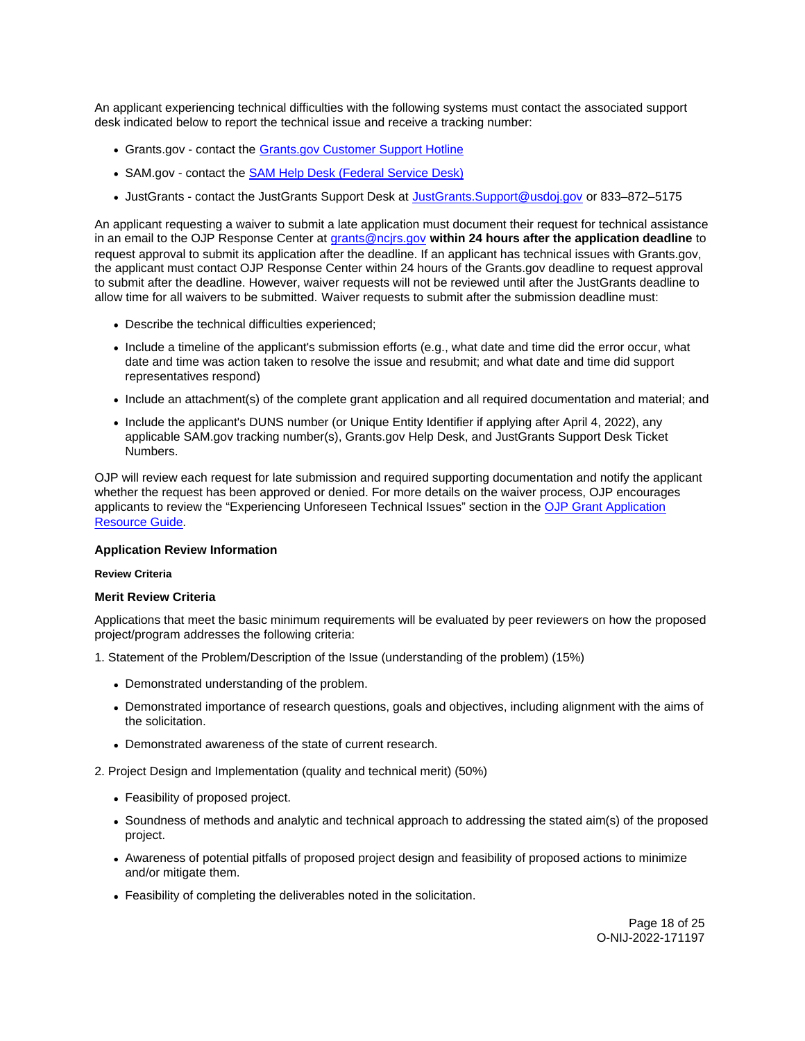<span id="page-17-0"></span>An applicant experiencing technical difficulties with the following systems must contact the associated support desk indicated below to report the technical issue and receive a tracking number:

- [Grants.gov](https://Grants.gov)  contact the [Grants.gov Customer Support Hotline](https://www.grants.gov/web/grants/support.html)
- SAM.gov contact the [SAM Help Desk \(Federal Service Desk\)](https://www.fsd.gov/gsafsd_sp)
- JustGrants contact the JustGrants Support Desk at [JustGrants.Support@usdoj.gov](mailto:JustGrants.Support@usdoj.gov) or 833–872–5175

An applicant requesting a waiver to submit a late application must document their request for technical assistance in an email to the OJP Response Center at [grants@ncjrs.gov](file:///C:/Users/local_Yehj/INetCache/Content.Outlook/20U4XBR7/grants@ncjrs.gov) **within 24 hours after the application deadline** to request approval to submit its application after the deadline. If an applicant has technical issues with [Grants.gov](https://Grants.gov), the applicant must contact OJP Response Center within 24 hours of the [Grants.gov](https://Grants.gov) deadline to request approval to submit after the deadline. However, waiver requests will not be reviewed until after the JustGrants deadline to allow time for all waivers to be submitted. Waiver requests to submit after the submission deadline must:

- Describe the technical difficulties experienced;
- Include a timeline of the applicant's submission efforts (e.g., what date and time did the error occur, what date and time was action taken to resolve the issue and resubmit; and what date and time did support representatives respond)
- Include an attachment(s) of the complete grant application and all required documentation and material; and
- Include the applicant's DUNS number (or Unique Entity Identifier if applying after April 4, 2022), any applicable SAM.gov tracking number(s), [Grants.gov](https://Grants.gov) Help Desk, and JustGrants Support Desk Ticket Numbers.

OJP will review each request for late submission and required supporting documentation and notify the applicant whether the request has been approved or denied. For more details on the waiver process, OJP encourages applicants to review the "Experiencing Unforeseen Technical Issues" section in the [OJP Grant Application](https://www.ojp.gov/funding/apply/ojp-grant-application-resource-guide#experiencing-unforeseen-technical-issues)  [Resource Guide](https://www.ojp.gov/funding/apply/ojp-grant-application-resource-guide#experiencing-unforeseen-technical-issues).

# **Application Review Information**

### **Review Criteria**

#### **Merit Review Criteria**

Applications that meet the basic minimum requirements will be evaluated by peer reviewers on how the proposed project/program addresses the following criteria:

1. Statement of the Problem/Description of the Issue (understanding of the problem) (15%)

- Demonstrated understanding of the problem.
- Demonstrated importance of research questions, goals and objectives, including alignment with the aims of the solicitation.
- Demonstrated awareness of the state of current research.

2. Project Design and Implementation (quality and technical merit) (50%)

- Feasibility of proposed project.
- Soundness of methods and analytic and technical approach to addressing the stated aim(s) of the proposed project.
- Awareness of potential pitfalls of proposed project design and feasibility of proposed actions to minimize and/or mitigate them.
- Feasibility of completing the deliverables noted in the solicitation.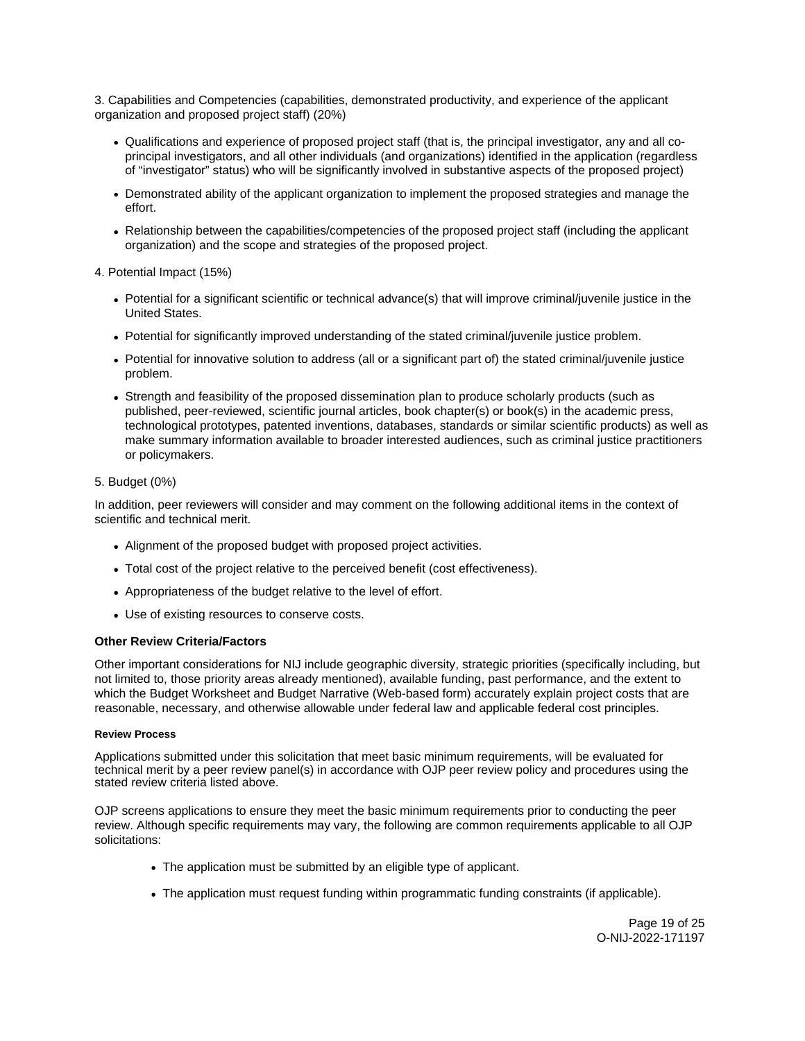<span id="page-18-0"></span>3. Capabilities and Competencies (capabilities, demonstrated productivity, and experience of the applicant organization and proposed project staff) (20%)

- Qualifications and experience of proposed project staff (that is, the principal investigator, any and all coprincipal investigators, and all other individuals (and organizations) identified in the application (regardless of "investigator" status) who will be significantly involved in substantive aspects of the proposed project)
- Demonstrated ability of the applicant organization to implement the proposed strategies and manage the effort.
- Relationship between the capabilities/competencies of the proposed project staff (including the applicant organization) and the scope and strategies of the proposed project.
- 4. Potential Impact (15%)
	- Potential for a significant scientific or technical advance(s) that will improve criminal/juvenile justice in the United States.
	- Potential for significantly improved understanding of the stated criminal/juvenile justice problem.
	- Potential for innovative solution to address (all or a significant part of) the stated criminal/juvenile justice problem.
	- Strength and feasibility of the proposed dissemination plan to produce scholarly products (such as published, peer-reviewed, scientific journal articles, book chapter(s) or book(s) in the academic press, technological prototypes, patented inventions, databases, standards or similar scientific products) as well as make summary information available to broader interested audiences, such as criminal justice practitioners or policymakers.

# 5. Budget (0%)

In addition, peer reviewers will consider and may comment on the following additional items in the context of scientific and technical merit.

- Alignment of the proposed budget with proposed project activities.
- Total cost of the project relative to the perceived benefit (cost effectiveness).
- Appropriateness of the budget relative to the level of effort.
- Use of existing resources to conserve costs.

### **Other Review Criteria/Factors**

Other important considerations for NIJ include geographic diversity, strategic priorities (specifically including, but not limited to, those priority areas already mentioned), available funding, past performance, and the extent to which the Budget Worksheet and Budget Narrative (Web-based form) accurately explain project costs that are reasonable, necessary, and otherwise allowable under federal law and applicable federal cost principles.

### **Review Process**

Applications submitted under this solicitation that meet basic minimum requirements, will be evaluated for technical merit by a peer review panel(s) in accordance with OJP peer review policy and procedures using the stated review criteria listed above.

OJP screens applications to ensure they meet the basic minimum requirements prior to conducting the peer review. Although specific requirements may vary, the following are common requirements applicable to all OJP solicitations:

- The application must be submitted by an eligible type of applicant.
- The application must request funding within programmatic funding constraints (if applicable).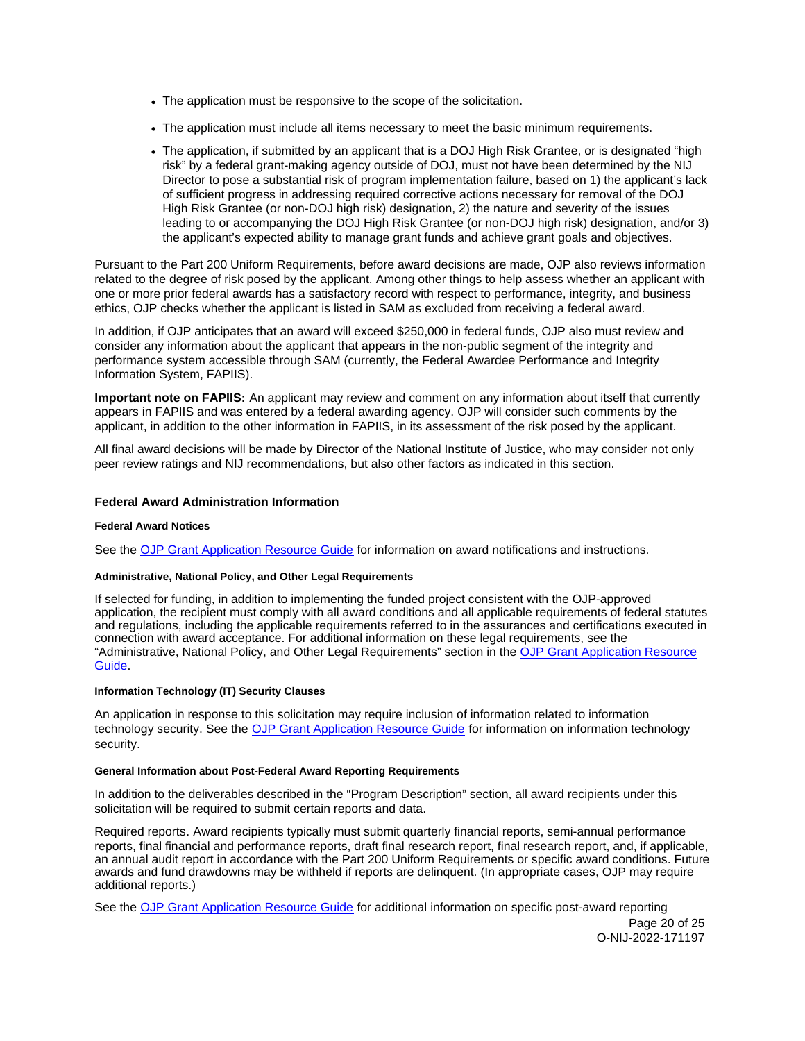- <span id="page-19-0"></span>The application must be responsive to the scope of the solicitation.
- The application must include all items necessary to meet the basic minimum requirements.
- The application, if submitted by an applicant that is a DOJ High Risk Grantee, or is designated "high risk" by a federal grant-making agency outside of DOJ, must not have been determined by the NIJ Director to pose a substantial risk of program implementation failure, based on 1) the applicant's lack of sufficient progress in addressing required corrective actions necessary for removal of the DOJ High Risk Grantee (or non-DOJ high risk) designation, 2) the nature and severity of the issues leading to or accompanying the DOJ High Risk Grantee (or non-DOJ high risk) designation, and/or 3) the applicant's expected ability to manage grant funds and achieve grant goals and objectives.

Pursuant to the Part 200 Uniform Requirements, before award decisions are made, OJP also reviews information related to the degree of risk posed by the applicant. Among other things to help assess whether an applicant with one or more prior federal awards has a satisfactory record with respect to performance, integrity, and business ethics, OJP checks whether the applicant is listed in SAM as excluded from receiving a federal award.

In addition, if OJP anticipates that an award will exceed \$250,000 in federal funds, OJP also must review and consider any information about the applicant that appears in the non-public segment of the integrity and performance system accessible through SAM (currently, the Federal Awardee Performance and Integrity Information System, FAPIIS).

**Important note on FAPIIS:** An applicant may review and comment on any information about itself that currently appears in FAPIIS and was entered by a federal awarding agency. OJP will consider such comments by the applicant, in addition to the other information in FAPIIS, in its assessment of the risk posed by the applicant.

All final award decisions will be made by Director of the National Institute of Justice, who may consider not only peer review ratings and NIJ recommendations, but also other factors as indicated in this section.

# **Federal Award Administration Information**

# **Federal Award Notices**

See the [OJP Grant Application Resource Guide](https://www.ojp.gov/funding/apply/ojp-grant-application-resource-guide#federal-award-notices) for information on award notifications and instructions.

# **Administrative, National Policy, and Other Legal Requirements**

If selected for funding, in addition to implementing the funded project consistent with the OJP-approved application, the recipient must comply with all award conditions and all applicable requirements of federal statutes and regulations, including the applicable requirements referred to in the assurances and certifications executed in connection with award acceptance. For additional information on these legal requirements, see the "Administrative, National Policy, and Other Legal Requirements" section in the [OJP Grant Application Resource](https://www.ojp.gov/funding/apply/ojp-grant-application-resource-guide#administrative)  [Guide.](https://www.ojp.gov/funding/apply/ojp-grant-application-resource-guide#administrative)

### **Information Technology (IT) Security Clauses**

An application in response to this solicitation may require inclusion of information related to information technology security. See the [OJP Grant Application Resource Guide](https://www.ojp.gov/funding/apply/ojp-grant-application-resource-guide#information-technology) for information on information technology security.

# **General Information about Post-Federal Award Reporting Requirements**

In addition to the deliverables described in the "Program Description" section, all award recipients under this solicitation will be required to submit certain reports and data.

Required reports. Award recipients typically must submit quarterly financial reports, semi-annual performance reports, final financial and performance reports, draft final research report, final research report, and, if applicable, an annual audit report in accordance with the Part 200 Uniform Requirements or specific award conditions. Future awards and fund drawdowns may be withheld if reports are delinquent. (In appropriate cases, OJP may require additional reports.)

See the [OJP Grant Application Resource Guide](https://www.ojp.gov/funding/apply/ojp-grant-application-resource-guide#general-information) for additional information on specific post-award reporting

Page 20 of 25 O-NIJ-2022-171197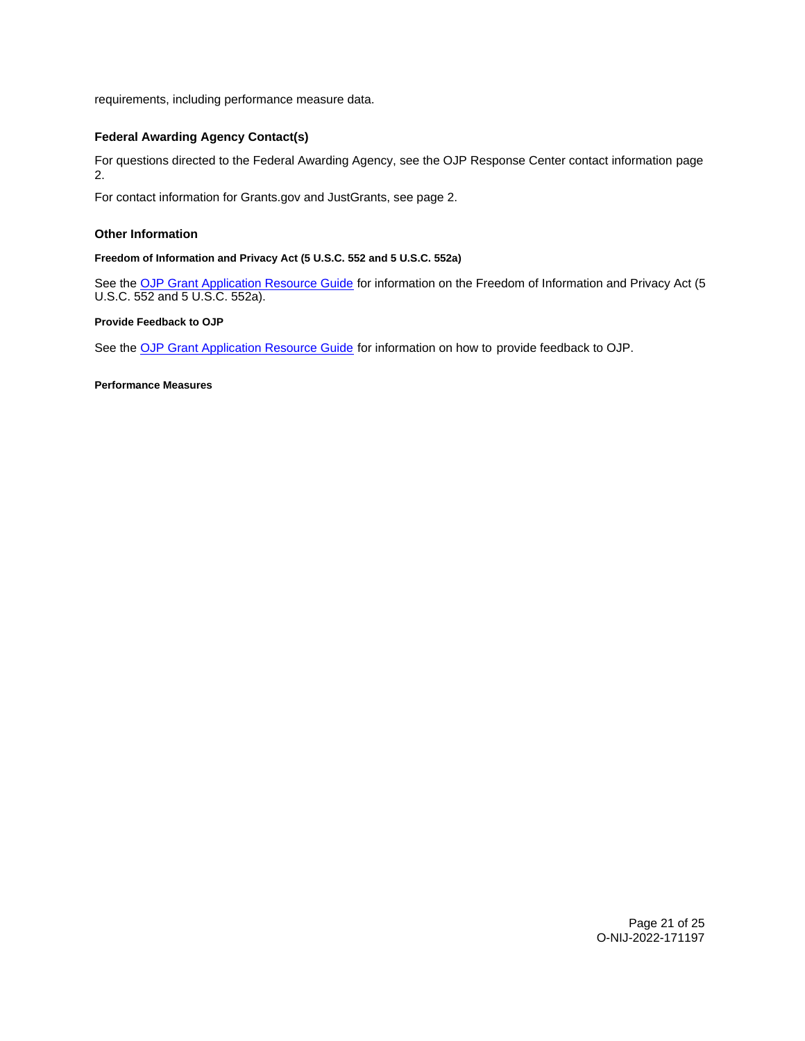<span id="page-20-0"></span>requirements, including performance measure data.

# **Federal Awarding Agency Contact(s)**

For questions directed to the Federal Awarding Agency, see the OJP Response Center contact information page 2.

For contact information for [Grants.gov](https://Grants.gov) and JustGrants, see page 2.

# **Other Information**

# **Freedom of Information and Privacy Act (5 U.S.C. 552 and 5 U.S.C. 552a)**

See the [OJP Grant Application Resource Guide](https://www.ojp.gov/funding/apply/ojp-grant-application-resource-guide#foia) for information on the Freedom of Information and Privacy Act (5 U.S.C. 552 and 5 U.S.C. 552a).

# **Provide Feedback to OJP**

See the [OJP Grant Application Resource Guide](https://www.ojp.gov/funding/apply/ojp-grant-application-resource-guide#feedback) for information on how to provide feedback to OJP.

**Performance Measures**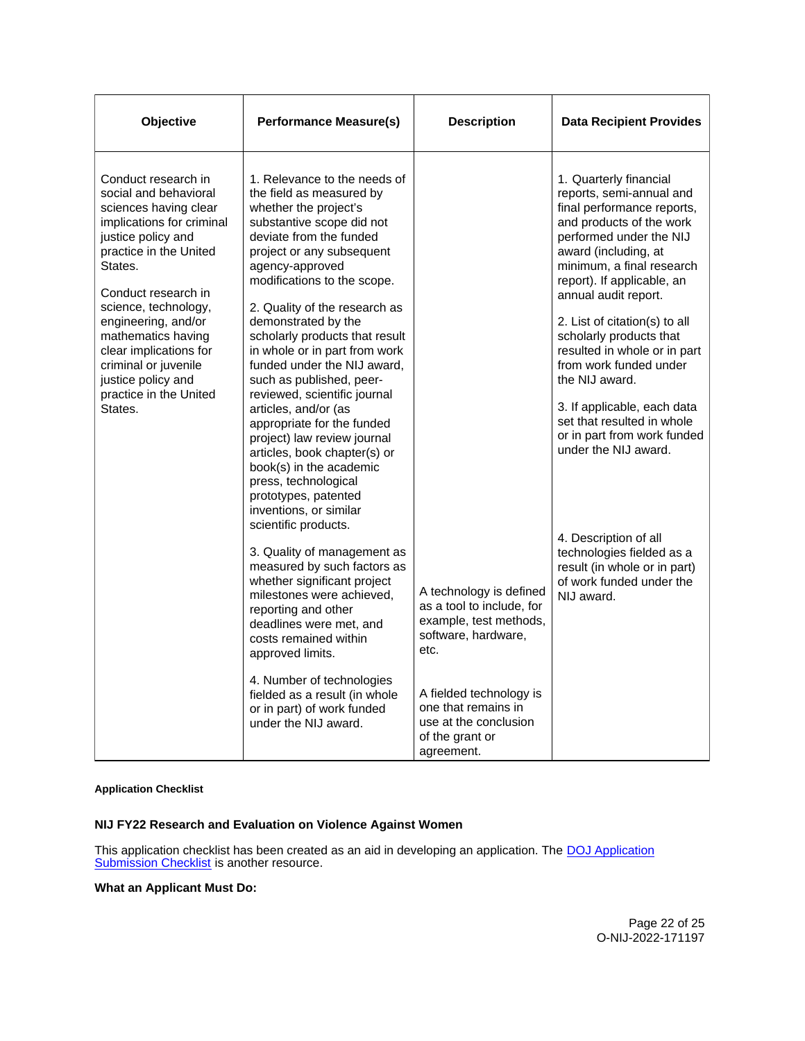<span id="page-21-0"></span>

| Objective                                                                                                                                                                                                                                                                                                                                                                                                         | <b>Performance Measure(s)</b>                                                                                                                                                                                                                                                                                                                                                                                                                                                                                                                                                                                                                         | <b>Description</b>                                                                                                                       | <b>Data Recipient Provides</b>                                                                                                                                                                                                                                                                                                                                                                                                                                                                                 |
|-------------------------------------------------------------------------------------------------------------------------------------------------------------------------------------------------------------------------------------------------------------------------------------------------------------------------------------------------------------------------------------------------------------------|-------------------------------------------------------------------------------------------------------------------------------------------------------------------------------------------------------------------------------------------------------------------------------------------------------------------------------------------------------------------------------------------------------------------------------------------------------------------------------------------------------------------------------------------------------------------------------------------------------------------------------------------------------|------------------------------------------------------------------------------------------------------------------------------------------|----------------------------------------------------------------------------------------------------------------------------------------------------------------------------------------------------------------------------------------------------------------------------------------------------------------------------------------------------------------------------------------------------------------------------------------------------------------------------------------------------------------|
| Conduct research in<br>social and behavioral<br>sciences having clear<br>implications for criminal<br>justice policy and<br>practice in the United<br>States.<br>agency-approved<br>Conduct research in<br>science, technology,<br>engineering, and/or<br>mathematics having<br>clear implications for<br>criminal or juvenile<br>justice policy and<br>practice in the United<br>States.<br>articles, and/or (as | 1. Relevance to the needs of<br>the field as measured by<br>whether the project's<br>substantive scope did not<br>deviate from the funded<br>project or any subsequent<br>modifications to the scope.<br>2. Quality of the research as<br>demonstrated by the<br>scholarly products that result<br>in whole or in part from work<br>funded under the NIJ award.<br>such as published, peer-<br>reviewed, scientific journal<br>appropriate for the funded<br>project) law review journal<br>articles, book chapter(s) or<br>book(s) in the academic<br>press, technological<br>prototypes, patented<br>inventions, or similar<br>scientific products. |                                                                                                                                          | 1. Quarterly financial<br>reports, semi-annual and<br>final performance reports,<br>and products of the work<br>performed under the NIJ<br>award (including, at<br>minimum, a final research<br>report). If applicable, an<br>annual audit report.<br>2. List of citation(s) to all<br>scholarly products that<br>resulted in whole or in part<br>from work funded under<br>the NIJ award.<br>3. If applicable, each data<br>set that resulted in whole<br>or in part from work funded<br>under the NIJ award. |
|                                                                                                                                                                                                                                                                                                                                                                                                                   | 3. Quality of management as<br>measured by such factors as<br>whether significant project<br>milestones were achieved,<br>reporting and other<br>deadlines were met, and<br>costs remained within<br>approved limits.<br>4. Number of technologies<br>fielded as a result (in whole                                                                                                                                                                                                                                                                                                                                                                   | A technology is defined<br>as a tool to include, for<br>example, test methods,<br>software, hardware,<br>etc.<br>A fielded technology is | 4. Description of all<br>technologies fielded as a<br>result (in whole or in part)<br>of work funded under the<br>NIJ award.                                                                                                                                                                                                                                                                                                                                                                                   |
|                                                                                                                                                                                                                                                                                                                                                                                                                   | or in part) of work funded<br>under the NIJ award.                                                                                                                                                                                                                                                                                                                                                                                                                                                                                                                                                                                                    | one that remains in<br>use at the conclusion<br>of the grant or<br>agreement.                                                            |                                                                                                                                                                                                                                                                                                                                                                                                                                                                                                                |

# **Application Checklist**

# **NIJ FY22 Research and Evaluation on Violence Against Women**

This application checklist has been created as an aid in developing an application. The **DOJ** Application [Submission Checklist](https://justicegrants.usdoj.gov/sites/g/files/xyckuh296/files/media/document/appln-submission-checklist.pdf) is another resource.

# **What an Applicant Must Do:**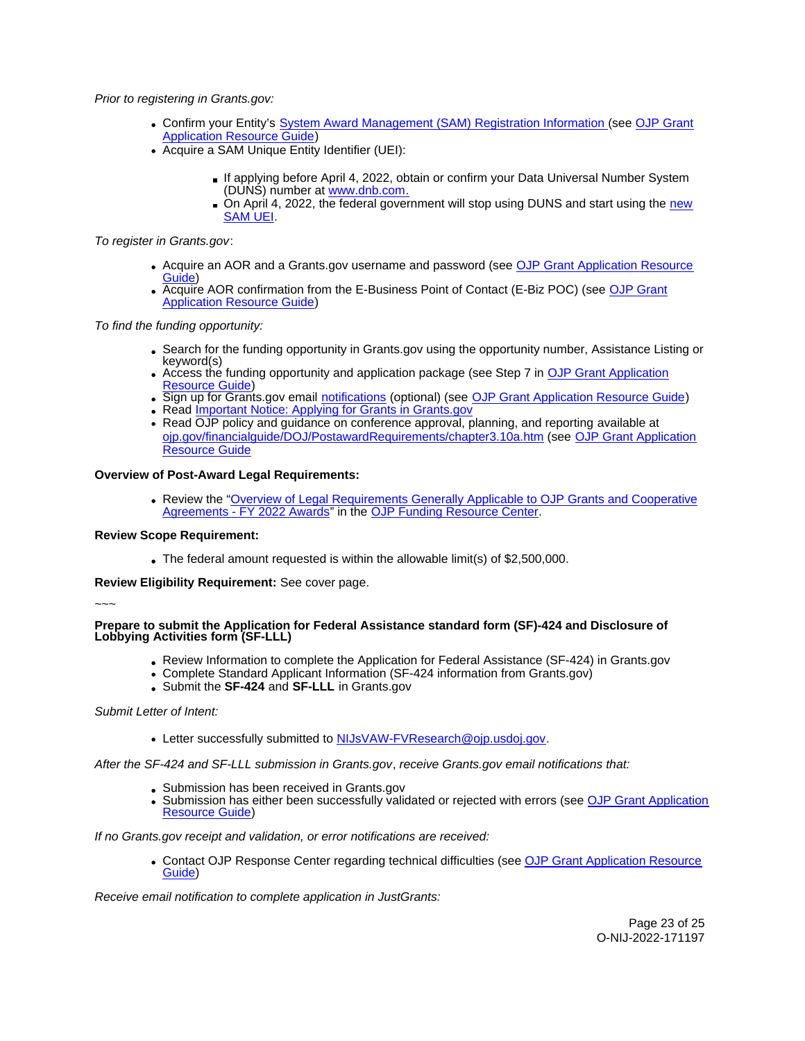Prior to registering in [Grants.gov:](https://Grants.gov)

- Confirm your Entity's [System Award Management \(SAM\)](https://sam.gov/SAM/) Registration Information (see [OJP Grant](https://www.ojp.gov/funding/apply/ojp-grant-application-resource-guide#apply)  **[Application Resource Guide\)](https://www.ojp.gov/funding/apply/ojp-grant-application-resource-guide#apply)**
- Acquire a SAM Unique Entity Identifier (UEI):
	- If applying before April 4, 2022, obtain or confirm your Data Universal Number System (DUNS) number at [www.dnb.com.](http://www.dnb.com)
	- On April 4, 2022, the federal government will stop using DUNS and start using the new [SAM UEI.](https://justicegrants.usdoj.gov/resources/system-for-award-management#transition-to-unique-entity-id-sam)

To register in [Grants.gov](https://Grants.gov):

- Acquire an AOR and a [Grants.gov](https://Grants.gov) username and password (see OJP Grant Application Resource [Guide\)](https://www.ojp.gov/funding/apply/ojp-grant-application-resource-guide#apply)
- Acquire AOR confirmation from the E-Business Point of Contact (E-Biz POC) (see [OJP Grant](https://www.ojp.gov/funding/apply/ojp-grant-application-resource-guide#apply)  [Application Resource Guide\)](https://www.ojp.gov/funding/apply/ojp-grant-application-resource-guide#apply)

To find the funding opportunity:

- Search for the funding opportunity in [Grants.gov](https://Grants.gov) using the opportunity number, Assistance Listing or keyword(s)
- Access the funding opportunity and application package (see Step 7 in [OJP Grant Application](https://www.ojp.gov/funding/apply/ojp-grant-application-resource-guide#apply)  [Resource Guide\)](https://www.ojp.gov/funding/apply/ojp-grant-application-resource-guide#apply)
- Sign up for [Grants.gov](https://Grants.gov) email [notifications](https://www.grants.gov/web/grants/manage-subscriptions.html) (optional) (see [OJP Grant Application Resource Guide\)](https://www.ojp.gov/funding/apply/ojp-grant-application-resource-guide#apply)
- Read Important Notice: Applying for Grants in Grants.gov
- Read OJP policy and guidance on conference approval, planning, and reporting available at [ojp.gov/financialguide/DOJ/PostawardRequirements/chapter3.10a.htm](https://ojp.gov/financialguide/DOJ/PostawardRequirements/chapter3.10a.htm) (see [OJP Grant Application](https://www.ojp.gov/funding/apply/ojp-grant-application-resource-guide#prior-approval)  [Resource Guide](https://www.ojp.gov/funding/apply/ojp-grant-application-resource-guide#prior-approval)

# **Overview of Post-Award Legal Requirements:**

Review the ["Overview of Legal Requirements Generally Applicable to OJP Grants and Cooperative](https://www.ojp.gov/funding/explore/legal-overview-awards)  [Agreements - FY 2022 Awards"](https://www.ojp.gov/funding/explore/legal-overview-awards) in the [OJP Funding Resource Center.](https://www.ojp.gov/funding/explore/legal-overview-awards)

# **Review Scope Requirement:**

The federal amount requested is within the allowable limit(s) of \$2,500,000.

**Review Eligibility Requirement:** See cover page.

### ~~~

**Prepare to submit the Application for Federal Assistance standard form (SF)-424 and Disclosure of Lobbying Activities form (SF-LLL)** 

- Review Information to complete the Application for Federal Assistance (SF-424) in [Grants.gov](https://Grants.gov)
- Complete Standard Applicant Information (SF-424 information from [Grants.gov\)](https://Grants.gov)
- Submit the **SF-424** and **SF-LLL** in [Grants.gov](https://Grants.gov)

# Submit Letter of Intent:

Letter successfully submitted to [NIJsVAW-FVResearch@ojp.usdoj.gov.](mailto:NIJsVAW-FVResearch@ojp.usdoj.gov)

After the SF-424 and SF-LLL submission in [Grants.gov](https://Grants.gov), receive [Grants.gov](https://Grants.gov) email notifications that:

- Submission has been received in [Grants.gov](https://Grants.gov)
- Submission has either been successfully validated or rejected with errors (see OJP Grant Application [Resource Guide\)](https://www.ojp.gov/funding/apply/ojp-grant-application-resource-guide#apply)

If no [Grants.gov](https://Grants.gov) receipt and validation, or error notifications are received:

Contact OJP Response Center regarding technical difficulties (see [OJP Grant Application Resource](https://www.ojp.gov/funding/apply/ojp-grant-application-resource-guide#apply)  [Guide\)](https://www.ojp.gov/funding/apply/ojp-grant-application-resource-guide#apply)

Receive email notification to complete application in JustGrants: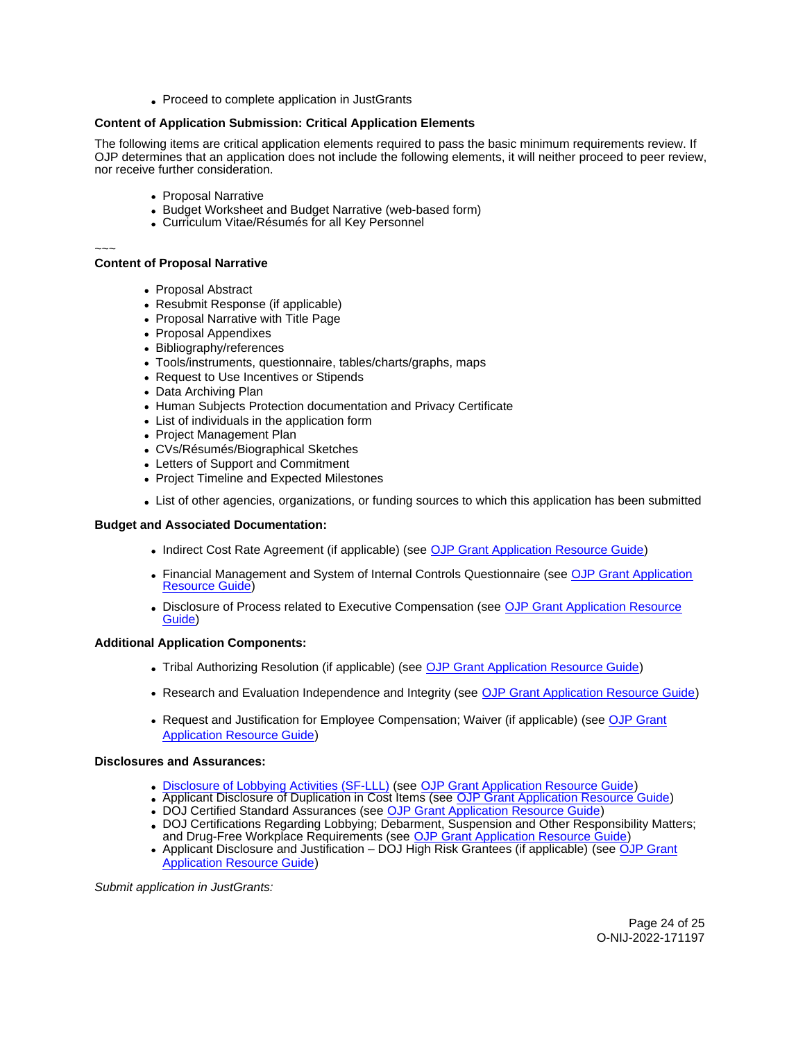• Proceed to complete application in JustGrants

# **Content of Application Submission: Critical Application Elements**

The following items are critical application elements required to pass the basic minimum requirements review. If OJP determines that an application does not include the following elements, it will neither proceed to peer review, nor receive further consideration.

- Proposal Narrative
- Budget Worksheet and Budget Narrative (web-based form)
- Curriculum Vitae/Résumés for all Key Personnel

~~~

# **Content of Proposal Narrative**

- Proposal Abstract
- Resubmit Response (if applicable)
- Proposal Narrative with Title Page
- Proposal Appendixes
- Bibliography/references
- Tools/instruments, questionnaire, tables/charts/graphs, maps
- Request to Use Incentives or Stipends
- Data Archiving Plan
- Human Subjects Protection documentation and Privacy Certificate
- List of individuals in the application form
- Project Management Plan
- CVs/Résumés/Biographical Sketches
- Letters of Support and Commitment
- Project Timeline and Expected Milestones
- List of other agencies, organizations, or funding sources to which this application has been submitted

# **Budget and Associated Documentation:**

- Indirect Cost Rate Agreement (if applicable) (see [OJP Grant Application Resource Guide\)](https://www.ojp.gov/funding/apply/ojp-grant-application-resource-guide#indirect-cost)
- Financial Management and System of Internal Controls Questionnaire (see OJP Grant Application [Resource Guide\)](https://www.ojp.gov/funding/apply/ojp-grant-application-resource-guide#fm-internal-controls-questionnaire)
- Disclosure of Process related to Executive Compensation (see OJP Grant Application Resource [Guide\)](https://www.ojp.gov/funding/apply/ojp-grant-application-resource-guide#disclosure-process-executive)

# **Additional Application Components:**

- Tribal Authorizing Resolution (if applicable) (see [OJP Grant Application Resource Guide\)](https://www.ojp.gov/funding/apply/ojp-grant-application-resource-guide#tribal-authorizing-resolution)
- Research and Evaluation Independence and Integrity (see [OJP Grant Application Resource Guide\)](https://www.ojp.gov/funding/apply/ojp-grant-application-resource-guide#research-evaluation)
- Request and Justification for Employee Compensation; Waiver (if applicable) (see OJP Grant [Application Resource Guide\)](https://www.ojp.gov/funding/apply/ojp-grant-application-resource-guide#limitation-use-award)

# **Disclosures and Assurances:**

- [Disclosure of Lobbying Activities \(SF-LLL\)](https://ojp.gov/funding/Apply/Resources/Disclosure.pdf) (see [OJP Grant Application Resource Guide\)](https://www.ojp.gov/funding/apply/ojp-grant-application-resource-guide#disclosure-lobby)
- Applicant Disclosure of Duplication in Cost Items (see [OJP Grant Application Resource Guide\)](https://www.ojp.gov/funding/apply/ojp-grant-application-resource-guide#applicant-disclosure-pending-applications)
- DOJ Certified Standard Assurances (see [OJP Grant Application Resource Guide\)](https://www.ojp.gov/funding/apply/ojp-grant-application-resource-guide#administrative)
- . DOJ Certifications Regarding Lobbying; Debarment, Suspension and Other Responsibility Matters; and Drug-Free Workplace Requirements (see [OJP Grant Application Resource Guide\)](https://www.ojp.gov/funding/apply/ojp-grant-application-resource-guide#administrative)
- Applicant Disclosure and Justification DOJ High Risk Grantees (if applicable) (see OJP Grant [Application Resource Guide\)](https://www.ojp.gov/funding/apply/ojp-grant-application-resource-guide#applicant-disclosure-justification)

Submit application in JustGrants: